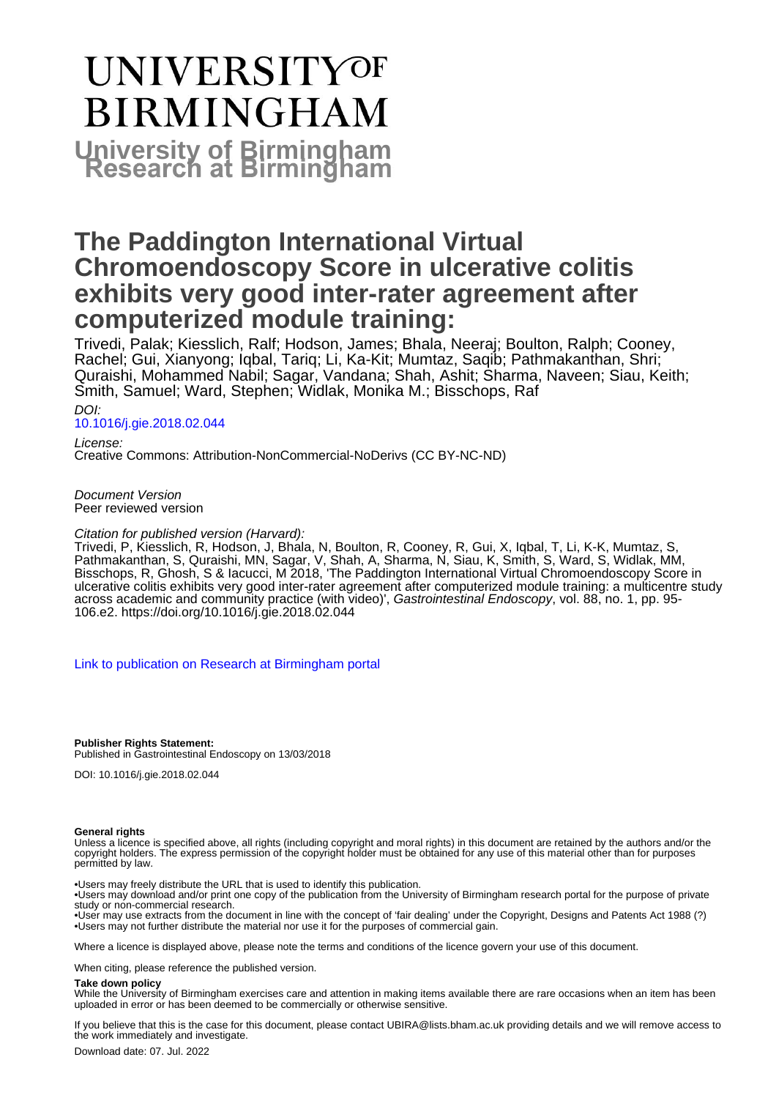# **UNIVERSITYOF BIRMINGHAM University of Birmingham**

# **The Paddington International Virtual Chromoendoscopy Score in ulcerative colitis exhibits very good inter-rater agreement after computerized module training:**

Trivedi, Palak; Kiesslich, Ralf; Hodson, James; Bhala, Neeraj; Boulton, Ralph; Cooney, Rachel; Gui, Xianyong; Iqbal, Tariq; Li, Ka-Kit; Mumtaz, Saqib; Pathmakanthan, Shri; Quraishi, Mohammed Nabil; Sagar, Vandana; Shah, Ashit; Sharma, Naveen; Siau, Keith; Smith, Samuel; Ward, Stephen; Widlak, Monika M.; Bisschops, Raf

DOI:

#### [10.1016/j.gie.2018.02.044](https://doi.org/10.1016/j.gie.2018.02.044)

License: Creative Commons: Attribution-NonCommercial-NoDerivs (CC BY-NC-ND)

#### Document Version Peer reviewed version

#### Citation for published version (Harvard):

Trivedi, P, Kiesslich, R, Hodson, J, Bhala, N, Boulton, R, Cooney, R, Gui, X, Iqbal, T, Li, K-K, Mumtaz, S, Pathmakanthan, S, Quraishi, MN, Sagar, V, Shah, A, Sharma, N, Siau, K, Smith, S, Ward, S, Widlak, MM, Bisschops, R, Ghosh, S & Iacucci, M 2018, 'The Paddington International Virtual Chromoendoscopy Score in ulcerative colitis exhibits very good inter-rater agreement after computerized module training: a multicentre study across academic and community practice (with video)', Gastrointestinal Endoscopy, vol. 88, no. 1, pp. 95- 106.e2.<https://doi.org/10.1016/j.gie.2018.02.044>

[Link to publication on Research at Birmingham portal](https://birmingham.elsevierpure.com/en/publications/0deb0fe5-bac1-4de3-afdd-fe5a2262938d)

**Publisher Rights Statement:** Published in Gastrointestinal Endoscopy on 13/03/2018

DOI: 10.1016/j.gie.2018.02.044

#### **General rights**

Unless a licence is specified above, all rights (including copyright and moral rights) in this document are retained by the authors and/or the copyright holders. The express permission of the copyright holder must be obtained for any use of this material other than for purposes permitted by law.

• Users may freely distribute the URL that is used to identify this publication.

• Users may download and/or print one copy of the publication from the University of Birmingham research portal for the purpose of private study or non-commercial research.

• User may use extracts from the document in line with the concept of 'fair dealing' under the Copyright, Designs and Patents Act 1988 (?) • Users may not further distribute the material nor use it for the purposes of commercial gain.

Where a licence is displayed above, please note the terms and conditions of the licence govern your use of this document.

When citing, please reference the published version.

#### **Take down policy**

While the University of Birmingham exercises care and attention in making items available there are rare occasions when an item has been uploaded in error or has been deemed to be commercially or otherwise sensitive.

If you believe that this is the case for this document, please contact UBIRA@lists.bham.ac.uk providing details and we will remove access to the work immediately and investigate.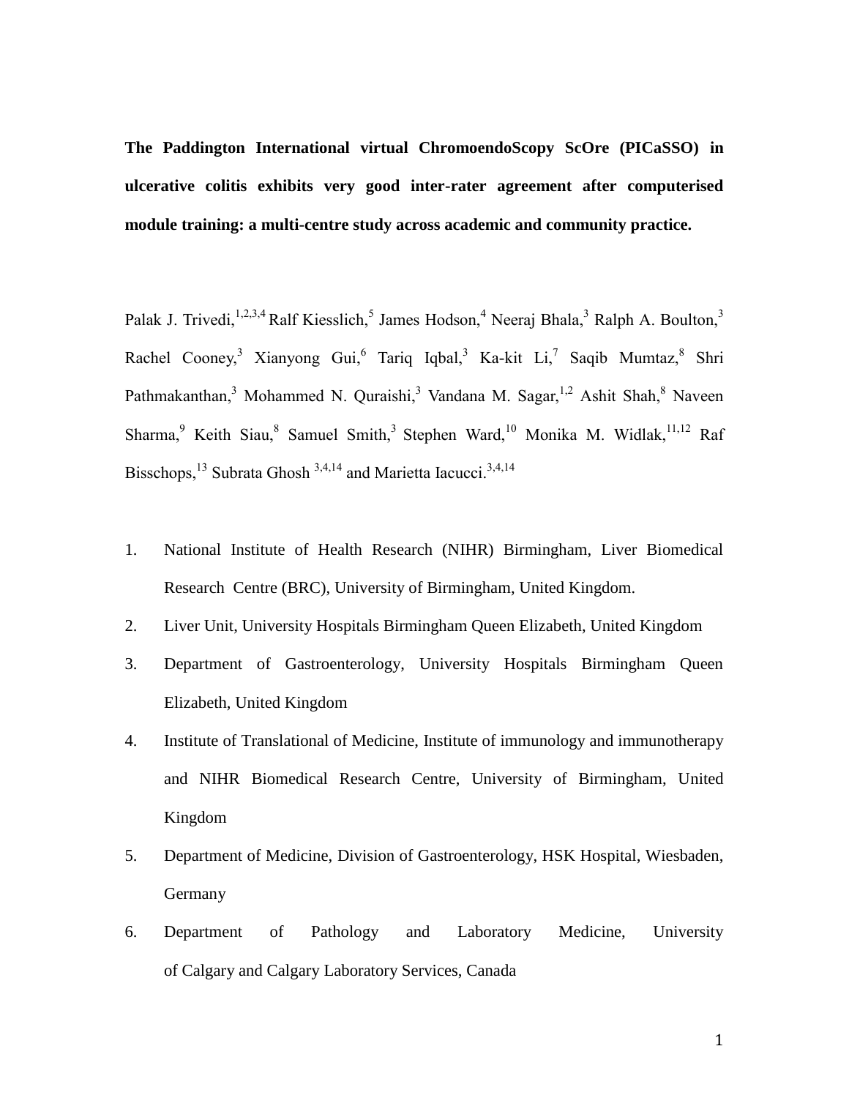**The Paddington International virtual ChromoendoScopy ScOre (PICaSSO) in ulcerative colitis exhibits very good inter-rater agreement after computerised module training: a multi-centre study across academic and community practice.**

Palak J. Trivedi,  $1,2,3,4$  Ralf Kiesslich,  $5$  James Hodson,  $4$  Neeraj Bhala,  $3$  Ralph A. Boulton,  $3$ Rachel Cooney,<sup>3</sup> Xianyong Gui,<sup>6</sup> Tariq Iqbal,<sup>3</sup> Ka-kit Li,<sup>7</sup> Saqib Mumtaz,<sup>8</sup> Shri Pathmakanthan,<sup>3</sup> Mohammed N. Quraishi,<sup>3</sup> Vandana M. Sagar,<sup>1,2</sup> Ashit Shah,<sup>8</sup> Naveen Sharma, Keith Siau, Samuel Smith, Stephen Ward, <sup>10</sup> Monika M. Widlak, <sup>11,12</sup> Raf Bisschops,<sup>13</sup> Subrata Ghosh<sup>3,4,14</sup> and Marietta Iacucci.<sup>3,4,14</sup>

- 1. National Institute of Health Research (NIHR) Birmingham, Liver Biomedical Research Centre (BRC), University of Birmingham, United Kingdom.
- 2. Liver Unit, University Hospitals Birmingham Queen Elizabeth, United Kingdom
- 3. Department of Gastroenterology, University Hospitals Birmingham Queen Elizabeth, United Kingdom
- 4. Institute of Translational of Medicine, Institute of immunology and immunotherapy and NIHR Biomedical Research Centre, University of Birmingham, United Kingdom
- 5. Department of Medicine, Division of Gastroenterology, HSK Hospital, Wiesbaden, Germany
- 6. Department of Pathology and Laboratory Medicine, University of Calgary and Calgary Laboratory Services, Canada

1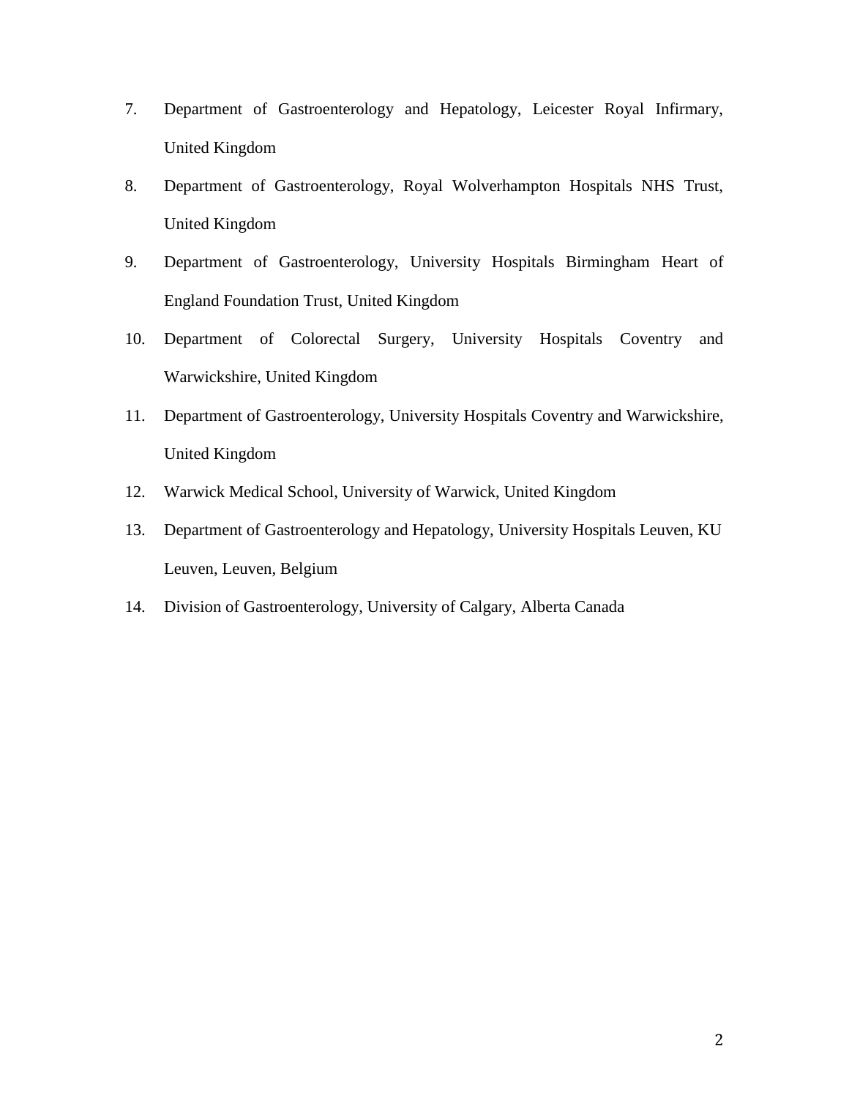- 7. Department of Gastroenterology and Hepatology, Leicester Royal Infirmary, United Kingdom
- 8. Department of Gastroenterology, Royal Wolverhampton Hospitals NHS Trust, United Kingdom
- 9. Department of Gastroenterology, University Hospitals Birmingham Heart of England Foundation Trust, United Kingdom
- 10. Department of Colorectal Surgery, University Hospitals Coventry and Warwickshire, United Kingdom
- 11. Department of Gastroenterology, University Hospitals Coventry and Warwickshire, United Kingdom
- 12. Warwick Medical School, University of Warwick, United Kingdom
- 13. Department of Gastroenterology and Hepatology, University Hospitals Leuven, KU Leuven, Leuven, Belgium
- 14. Division of Gastroenterology, University of Calgary, Alberta Canada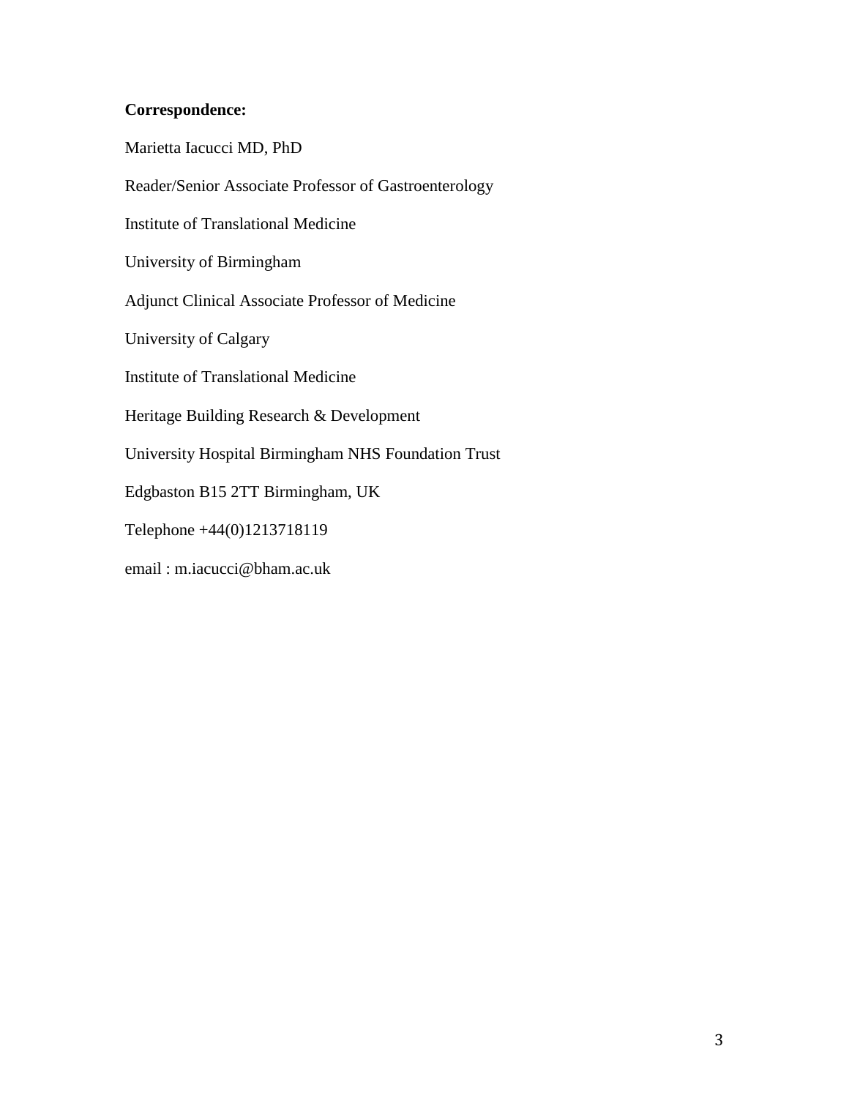### **Correspondence:**

Marietta Iacucci MD, PhD Reader/Senior Associate Professor of Gastroenterology Institute of Translational Medicine University of Birmingham Adjunct Clinical Associate Professor of Medicine University of Calgary Institute of Translational Medicine Heritage Building Research & Development University Hospital Birmingham NHS Foundation Trust Edgbaston B15 2TT Birmingham, UK Telephone +44(0)1213718119 email : m.iacucci@bham.ac.uk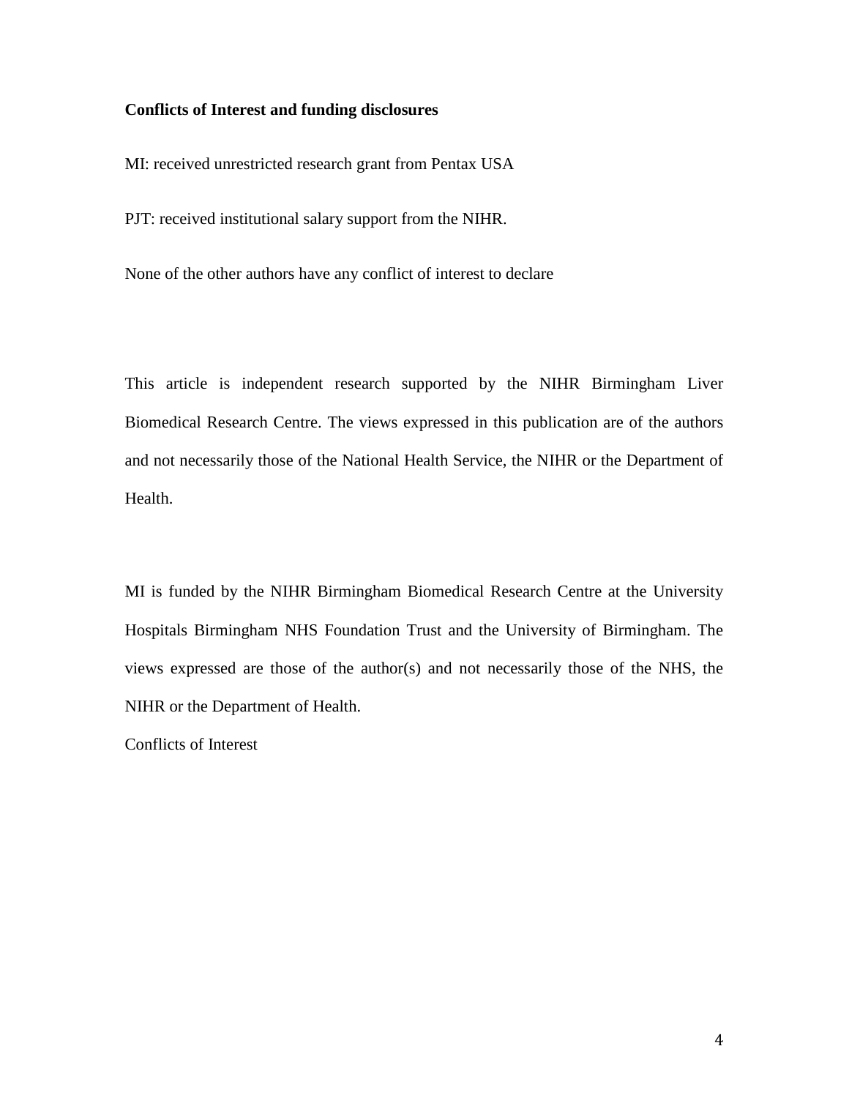#### **Conflicts of Interest and funding disclosures**

MI: received unrestricted research grant from Pentax USA

PJT: received institutional salary support from the NIHR.

None of the other authors have any conflict of interest to declare

This article is independent research supported by the NIHR Birmingham Liver Biomedical Research Centre. The views expressed in this publication are of the authors and not necessarily those of the National Health Service, the NIHR or the Department of Health.

MI is funded by the NIHR Birmingham Biomedical Research Centre at the University Hospitals Birmingham NHS Foundation Trust and the University of Birmingham. The views expressed are those of the author(s) and not necessarily those of the NHS, the NIHR or the Department of Health.

Conflicts of Interest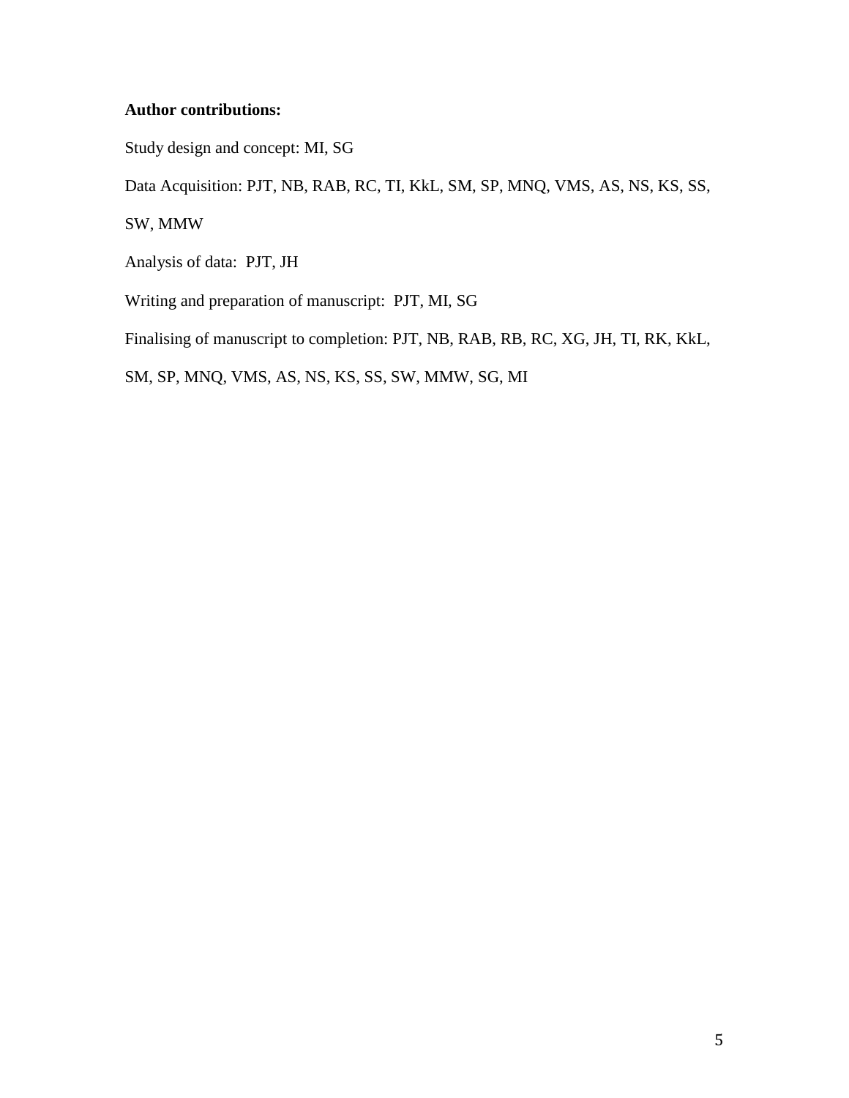#### **Author contributions:**

Study design and concept: MI, SG

Data Acquisition: PJT, NB, RAB, RC, TI, KkL, SM, SP, MNQ, VMS, AS, NS, KS, SS,

SW, MMW

Analysis of data: PJT, JH

Writing and preparation of manuscript: PJT, MI, SG

Finalising of manuscript to completion: PJT, NB, RAB, RB, RC, XG, JH, TI, RK, KkL,

SM, SP, MNQ, VMS, AS, NS, KS, SS, SW, MMW, SG, MI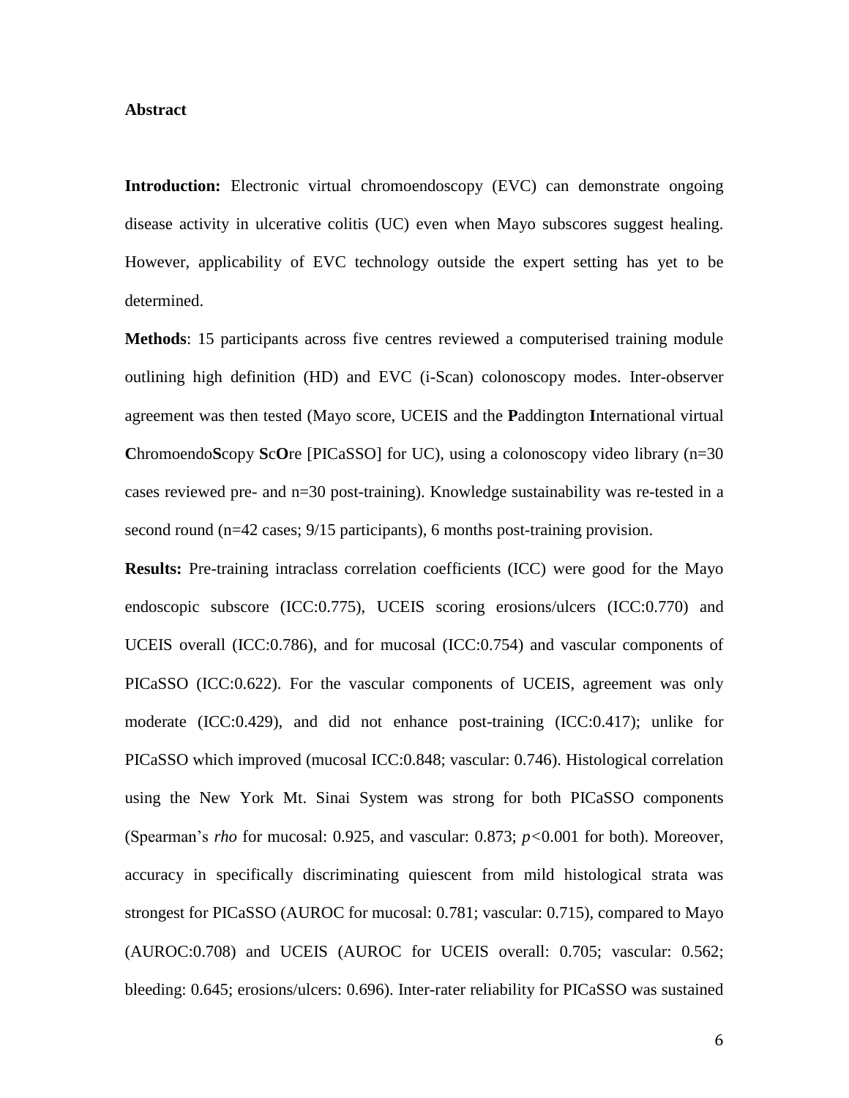#### **Abstract**

**Introduction:** Electronic virtual chromoendoscopy (EVC) can demonstrate ongoing disease activity in ulcerative colitis (UC) even when Mayo subscores suggest healing. However, applicability of EVC technology outside the expert setting has yet to be determined.

**Methods**: 15 participants across five centres reviewed a computerised training module outlining high definition (HD) and EVC (i-Scan) colonoscopy modes. Inter-observer agreement was then tested (Mayo score, UCEIS and the **P**addington **I**nternational virtual **C**hromoendo**S**copy **S**c**O**re [PICaSSO] for UC), using a colonoscopy video library (n=30 cases reviewed pre- and n=30 post-training). Knowledge sustainability was re-tested in a second round (n=42 cases; 9/15 participants), 6 months post-training provision.

**Results:** Pre-training intraclass correlation coefficients (ICC) were good for the Mayo endoscopic subscore (ICC:0.775), UCEIS scoring erosions/ulcers (ICC:0.770) and UCEIS overall (ICC:0.786), and for mucosal (ICC:0.754) and vascular components of PICaSSO (ICC:0.622). For the vascular components of UCEIS, agreement was only moderate (ICC:0.429), and did not enhance post-training (ICC:0.417); unlike for PICaSSO which improved (mucosal ICC:0.848; vascular: 0.746). Histological correlation using the New York Mt. Sinai System was strong for both PICaSSO components (Spearman's *rho* for mucosal: 0.925, and vascular: 0.873; *p<*0.001 for both). Moreover, accuracy in specifically discriminating quiescent from mild histological strata was strongest for PICaSSO (AUROC for mucosal: 0.781; vascular: 0.715), compared to Mayo (AUROC:0.708) and UCEIS (AUROC for UCEIS overall: 0.705; vascular: 0.562; bleeding: 0.645; erosions/ulcers: 0.696). Inter-rater reliability for PICaSSO was sustained

6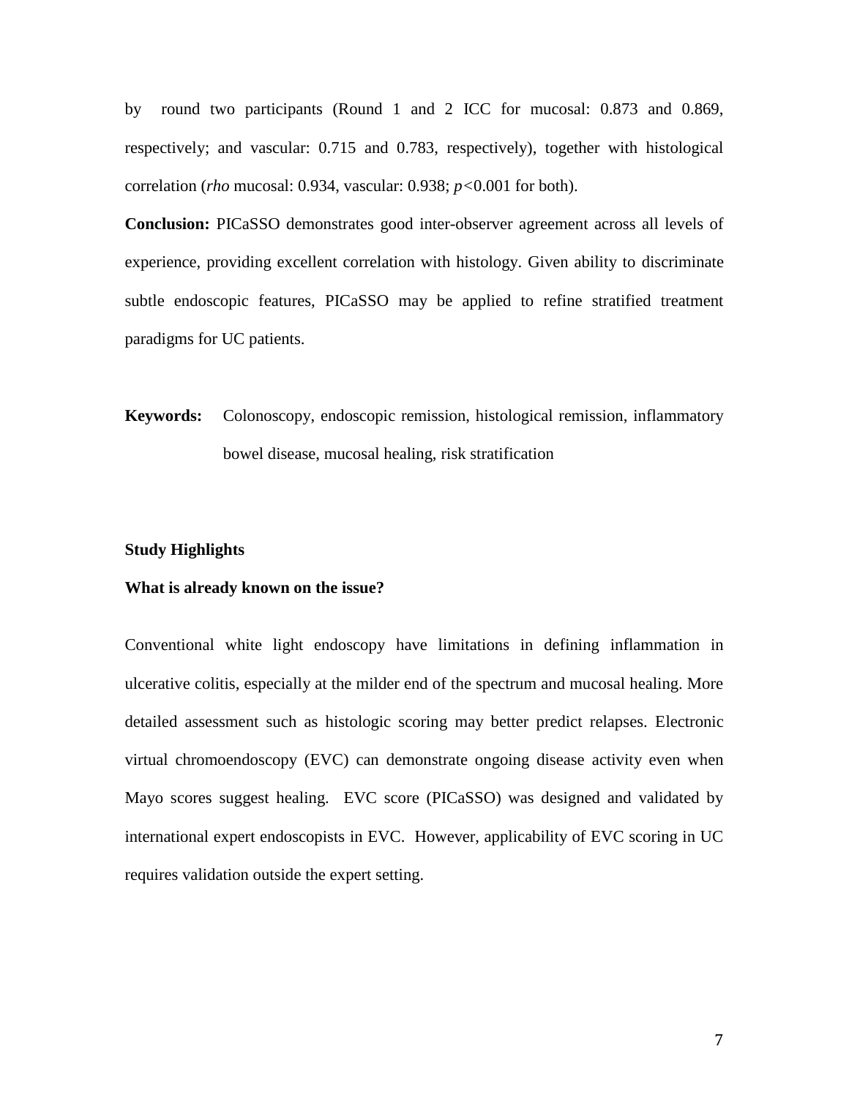by round two participants (Round 1 and 2 ICC for mucosal: 0.873 and 0.869, respectively; and vascular: 0.715 and 0.783, respectively), together with histological correlation (*rho* mucosal: 0.934, vascular: 0.938; *p<*0.001 for both).

**Conclusion:** PICaSSO demonstrates good inter-observer agreement across all levels of experience, providing excellent correlation with histology. Given ability to discriminate subtle endoscopic features, PICaSSO may be applied to refine stratified treatment paradigms for UC patients.

**Keywords:** Colonoscopy, endoscopic remission, histological remission, inflammatory bowel disease, mucosal healing, risk stratification

#### **Study Highlights**

#### **What is already known on the issue?**

Conventional white light endoscopy have limitations in defining inflammation in ulcerative colitis, especially at the milder end of the spectrum and mucosal healing. More detailed assessment such as histologic scoring may better predict relapses. Electronic virtual chromoendoscopy (EVC) can demonstrate ongoing disease activity even when Mayo scores suggest healing. EVC score (PICaSSO) was designed and validated by international expert endoscopists in EVC. However, applicability of EVC scoring in UC requires validation outside the expert setting.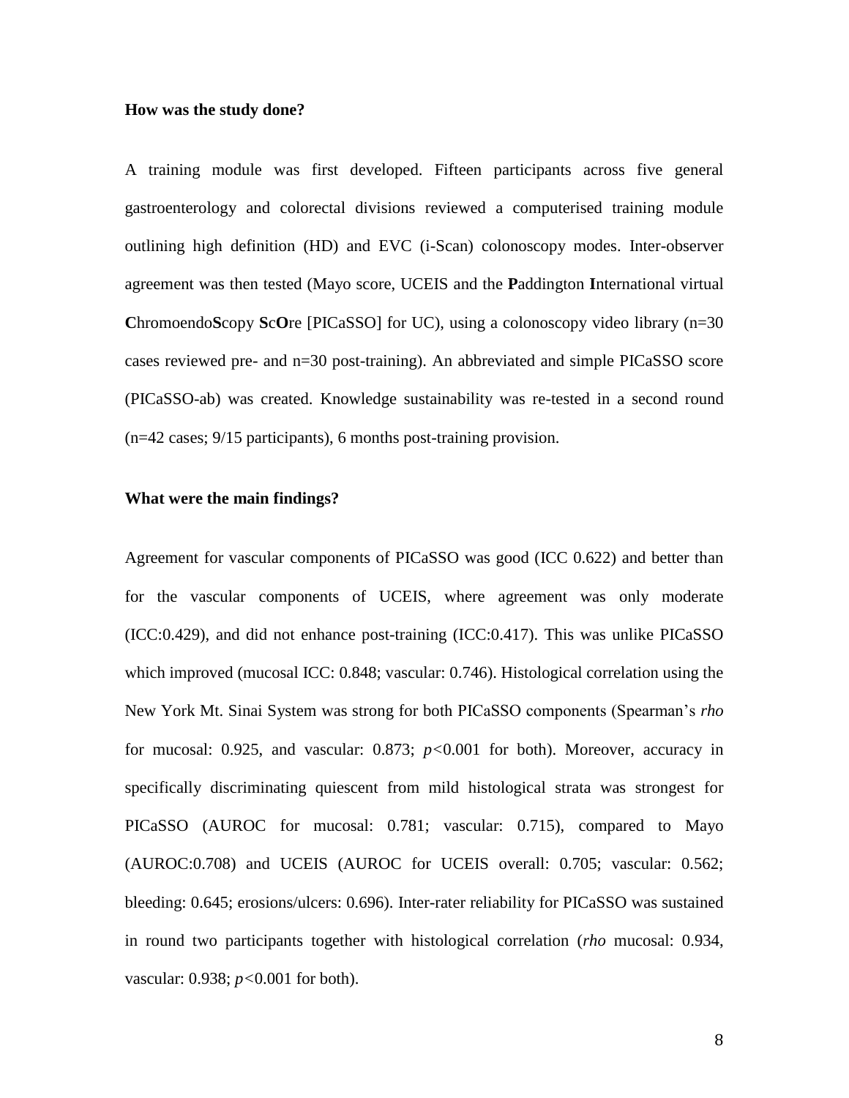#### **How was the study done?**

A training module was first developed. Fifteen participants across five general gastroenterology and colorectal divisions reviewed a computerised training module outlining high definition (HD) and EVC (i-Scan) colonoscopy modes. Inter-observer agreement was then tested (Mayo score, UCEIS and the **P**addington **I**nternational virtual **C**hromoendo**S**copy **S**c**O**re [PICaSSO] for UC), using a colonoscopy video library (n=30 cases reviewed pre- and n=30 post-training). An abbreviated and simple PICaSSO score (PICaSSO-ab) was created. Knowledge sustainability was re-tested in a second round (n=42 cases; 9/15 participants), 6 months post-training provision.

#### **What were the main findings?**

Agreement for vascular components of PICaSSO was good (ICC 0.622) and better than for the vascular components of UCEIS, where agreement was only moderate (ICC:0.429), and did not enhance post-training (ICC:0.417). This was unlike PICaSSO which improved (mucosal ICC: 0.848; vascular: 0.746). Histological correlation using the New York Mt. Sinai System was strong for both PICaSSO components (Spearman's *rho*  for mucosal: 0.925, and vascular: 0.873; *p<*0.001 for both). Moreover, accuracy in specifically discriminating quiescent from mild histological strata was strongest for PICaSSO (AUROC for mucosal: 0.781; vascular: 0.715), compared to Mayo (AUROC:0.708) and UCEIS (AUROC for UCEIS overall: 0.705; vascular: 0.562; bleeding: 0.645; erosions/ulcers: 0.696). Inter-rater reliability for PICaSSO was sustained in round two participants together with histological correlation (*rho* mucosal: 0.934, vascular: 0.938; *p<*0.001 for both).

8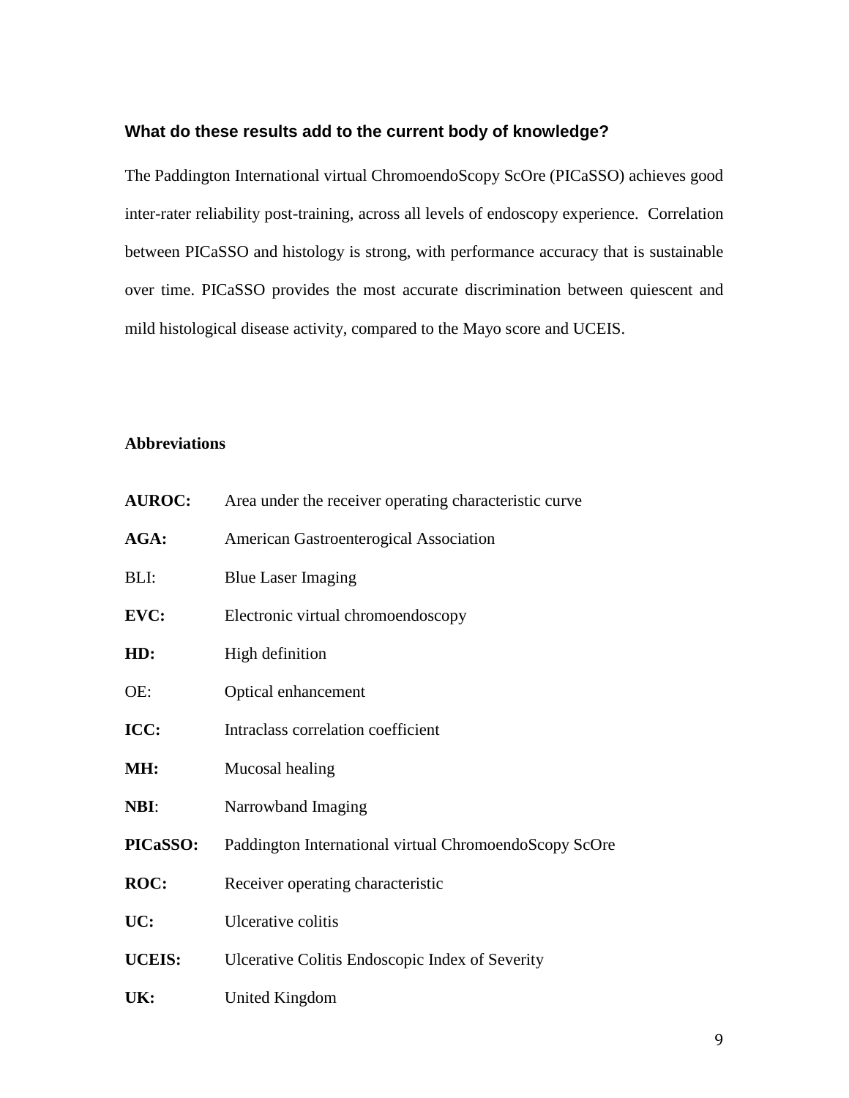#### **What do these results add to the current body of knowledge?**

The Paddington International virtual ChromoendoScopy ScOre (PICaSSO) achieves good inter-rater reliability post-training, across all levels of endoscopy experience. Correlation between PICaSSO and histology is strong, with performance accuracy that is sustainable over time. PICaSSO provides the most accurate discrimination between quiescent and mild histological disease activity, compared to the Mayo score and UCEIS.

#### **Abbreviations**

| <b>AUROC:</b>   | Area under the receiver operating characteristic curve |
|-----------------|--------------------------------------------------------|
| AGA:            | American Gastroenterogical Association                 |
| BLI:            | <b>Blue Laser Imaging</b>                              |
| EVC:            | Electronic virtual chromoendoscopy                     |
| HD:             | High definition                                        |
| OE:             | Optical enhancement                                    |
| ICC:            | Intraclass correlation coefficient                     |
| MH:             | Mucosal healing                                        |
| NBI:            | Narrowband Imaging                                     |
| <b>PICaSSO:</b> | Paddington International virtual ChromoendoScopy ScOre |
| ROC:            | Receiver operating characteristic                      |
| UC:             | Ulcerative colitis                                     |
| <b>UCEIS:</b>   | Ulcerative Colitis Endoscopic Index of Severity        |
| UK:             | United Kingdom                                         |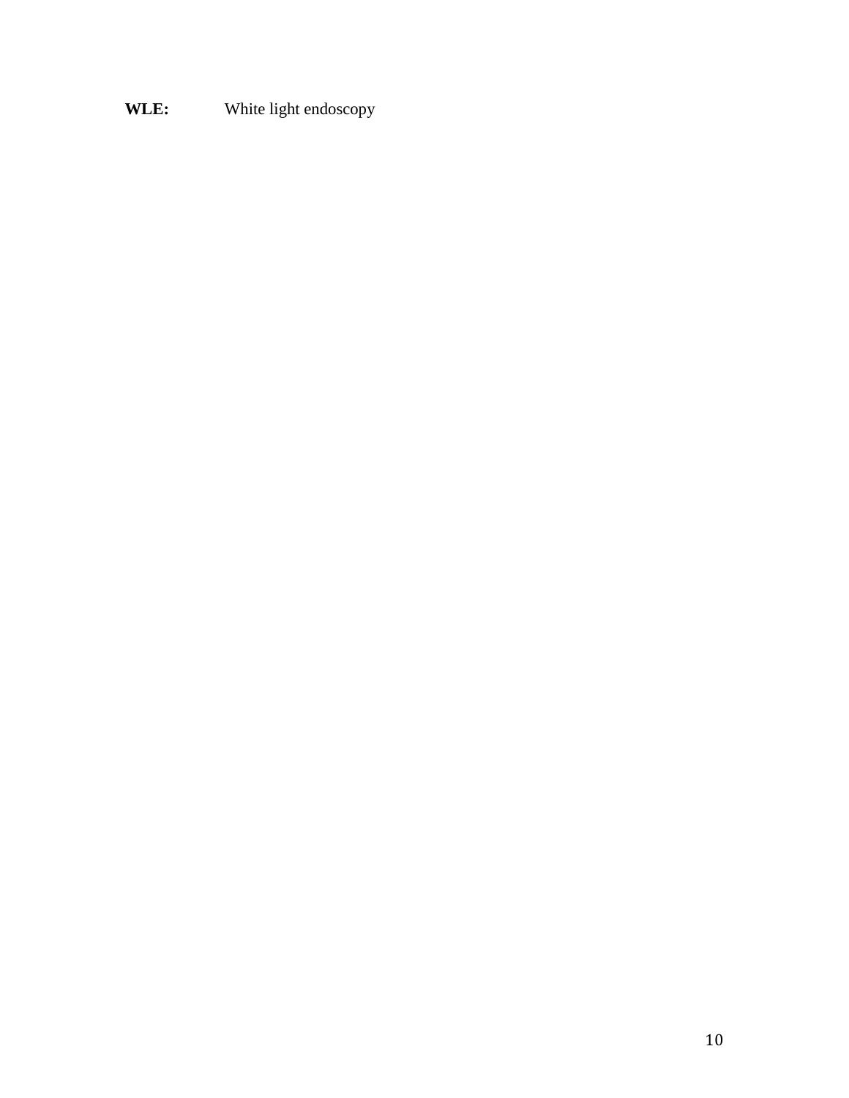## **WLE:** White light endoscopy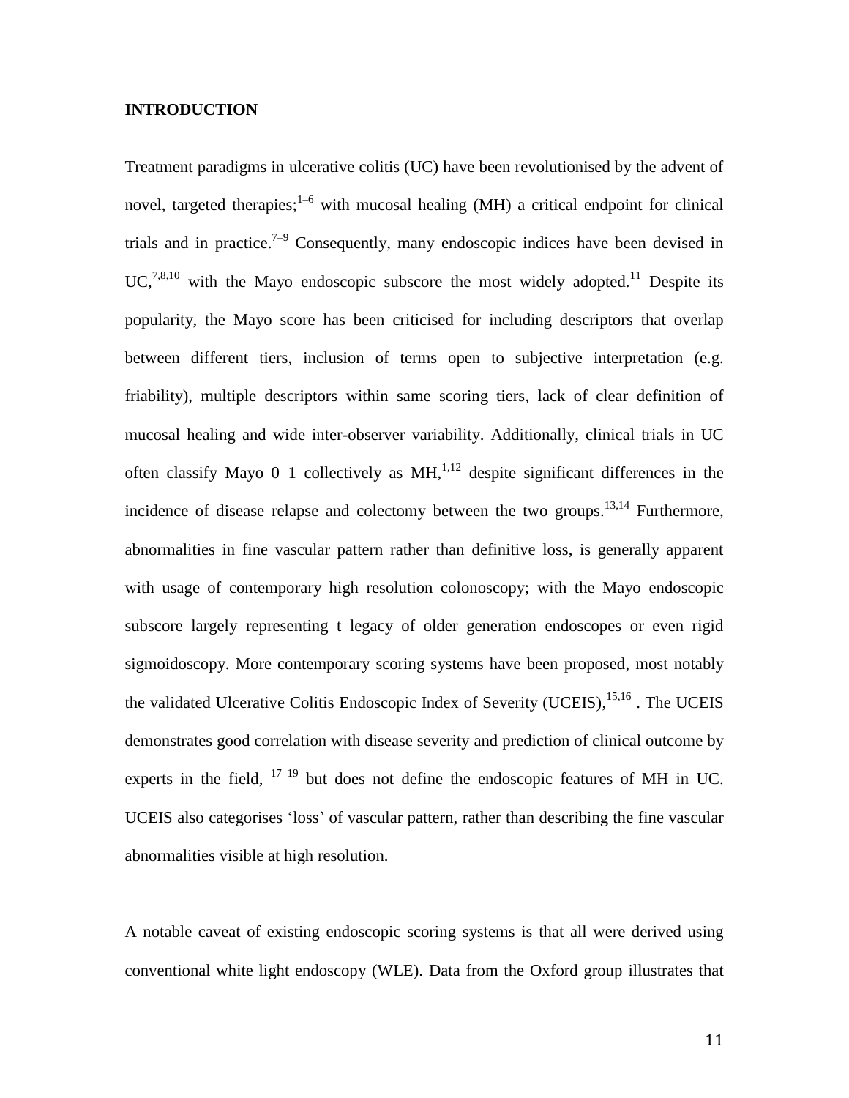#### **INTRODUCTION**

Treatment paradigms in ulcerative colitis (UC) have been revolutionised by the advent of novel, targeted therapies;  $1-6$  with mucosal healing (MH) a critical endpoint for clinical trials and in practice.<sup>7-9</sup> Consequently, many endoscopic indices have been devised in UC,<sup>7,8,10</sup> with the Mayo endoscopic subscore the most widely adopted.<sup>11</sup> Despite its popularity, the Mayo score has been criticised for including descriptors that overlap between different tiers, inclusion of terms open to subjective interpretation (e.g. friability), multiple descriptors within same scoring tiers, lack of clear definition of mucosal healing and wide inter-observer variability. Additionally, clinical trials in UC often classify Mayo  $0-1$  collectively as MH,<sup>1,12</sup> despite significant differences in the incidence of disease relapse and colectomy between the two groups.<sup>13,14</sup> Furthermore, abnormalities in fine vascular pattern rather than definitive loss, is generally apparent with usage of contemporary high resolution colonoscopy; with the Mayo endoscopic subscore largely representing t legacy of older generation endoscopes or even rigid sigmoidoscopy. More contemporary scoring systems have been proposed, most notably the validated Ulcerative Colitis Endoscopic Index of Severity (UCEIS), <sup>15,16</sup>. The UCEIS demonstrates good correlation with disease severity and prediction of clinical outcome by experts in the field,  $17-19$  but does not define the endoscopic features of MH in UC. UCEIS also categorises 'loss' of vascular pattern, rather than describing the fine vascular abnormalities visible at high resolution.

A notable caveat of existing endoscopic scoring systems is that all were derived using conventional white light endoscopy (WLE). Data from the Oxford group illustrates that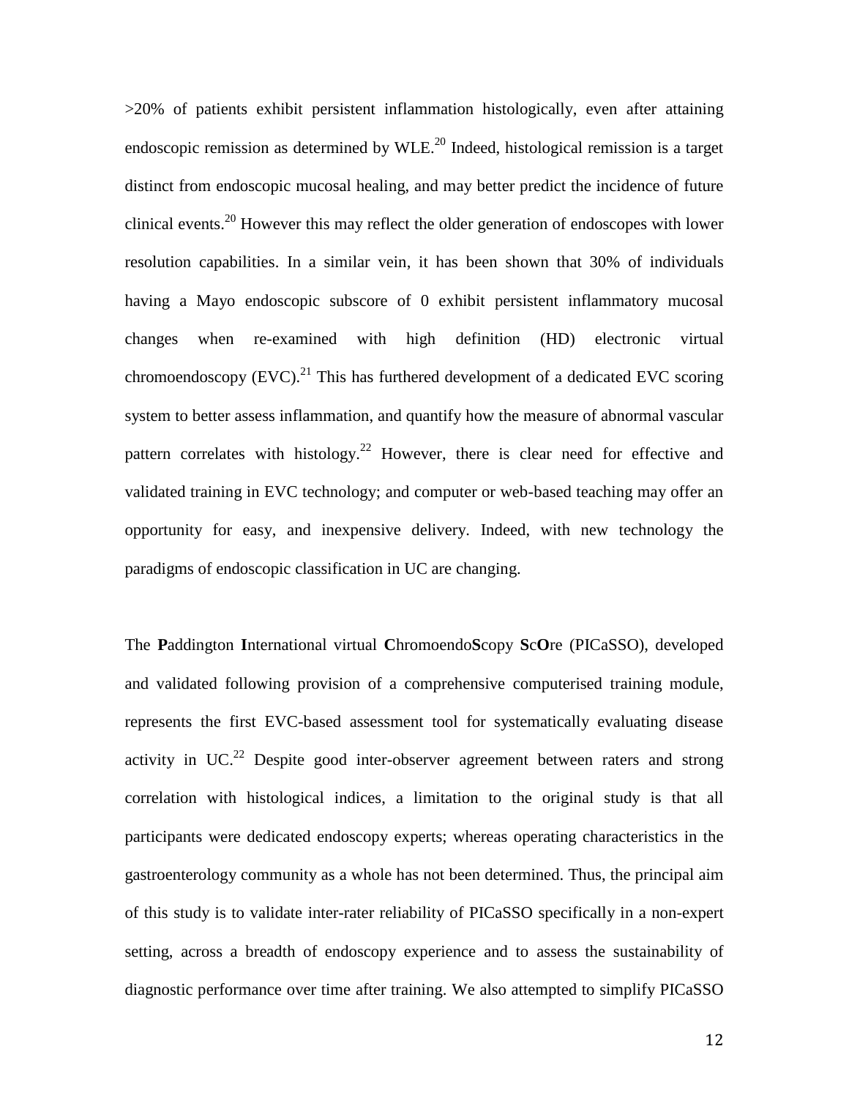>20% of patients exhibit persistent inflammation histologically, even after attaining endoscopic remission as determined by  $WLE<sup>20</sup>$  Indeed, histological remission is a target distinct from endoscopic mucosal healing, and may better predict the incidence of future clinical events.<sup>20</sup> However this may reflect the older generation of endoscopes with lower resolution capabilities. In a similar vein, it has been shown that 30% of individuals having a Mayo endoscopic subscore of 0 exhibit persistent inflammatory mucosal changes when re-examined with high definition (HD) electronic virtual chromoendoscopy  $(EVC)$ .<sup>21</sup> This has furthered development of a dedicated EVC scoring system to better assess inflammation, and quantify how the measure of abnormal vascular pattern correlates with histology.<sup>22</sup> However, there is clear need for effective and validated training in EVC technology; and computer or web-based teaching may offer an opportunity for easy, and inexpensive delivery. Indeed, with new technology the paradigms of endoscopic classification in UC are changing.

The **P**addington **I**nternational virtual **C**hromoendo**S**copy **S**c**O**re (PICaSSO), developed and validated following provision of a comprehensive computerised training module, represents the first EVC-based assessment tool for systematically evaluating disease activity in UC.<sup>22</sup> Despite good inter-observer agreement between raters and strong correlation with histological indices, a limitation to the original study is that all participants were dedicated endoscopy experts; whereas operating characteristics in the gastroenterology community as a whole has not been determined. Thus, the principal aim of this study is to validate inter-rater reliability of PICaSSO specifically in a non-expert setting, across a breadth of endoscopy experience and to assess the sustainability of diagnostic performance over time after training. We also attempted to simplify PICaSSO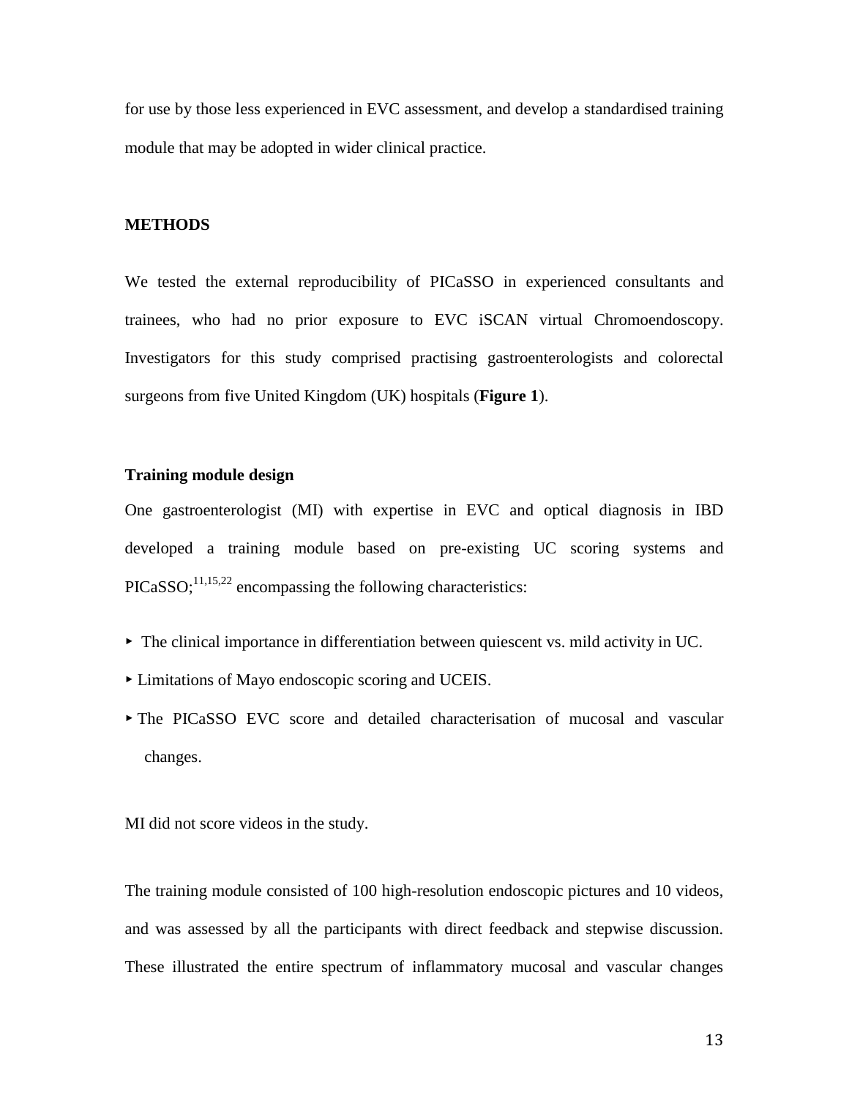for use by those less experienced in EVC assessment, and develop a standardised training module that may be adopted in wider clinical practice.

#### **METHODS**

We tested the external reproducibility of PICaSSO in experienced consultants and trainees, who had no prior exposure to EVC iSCAN virtual Chromoendoscopy. Investigators for this study comprised practising gastroenterologists and colorectal surgeons from five United Kingdom (UK) hospitals (**Figure 1**).

#### **Training module design**

One gastroenterologist (MI) with expertise in EVC and optical diagnosis in IBD developed a training module based on pre-existing UC scoring systems and  $PICASSO$ ;  $^{11,15,22}$  encompassing the following characteristics:

- $\triangleright$  The clinical importance in differentiation between quiescent vs. mild activity in UC.
- ▸ Limitations of Mayo endoscopic scoring and UCEIS.
- ▸ The PICaSSO EVC score and detailed characterisation of mucosal and vascular changes.

MI did not score videos in the study.

The training module consisted of 100 high-resolution endoscopic pictures and 10 videos, and was assessed by all the participants with direct feedback and stepwise discussion. These illustrated the entire spectrum of inflammatory mucosal and vascular changes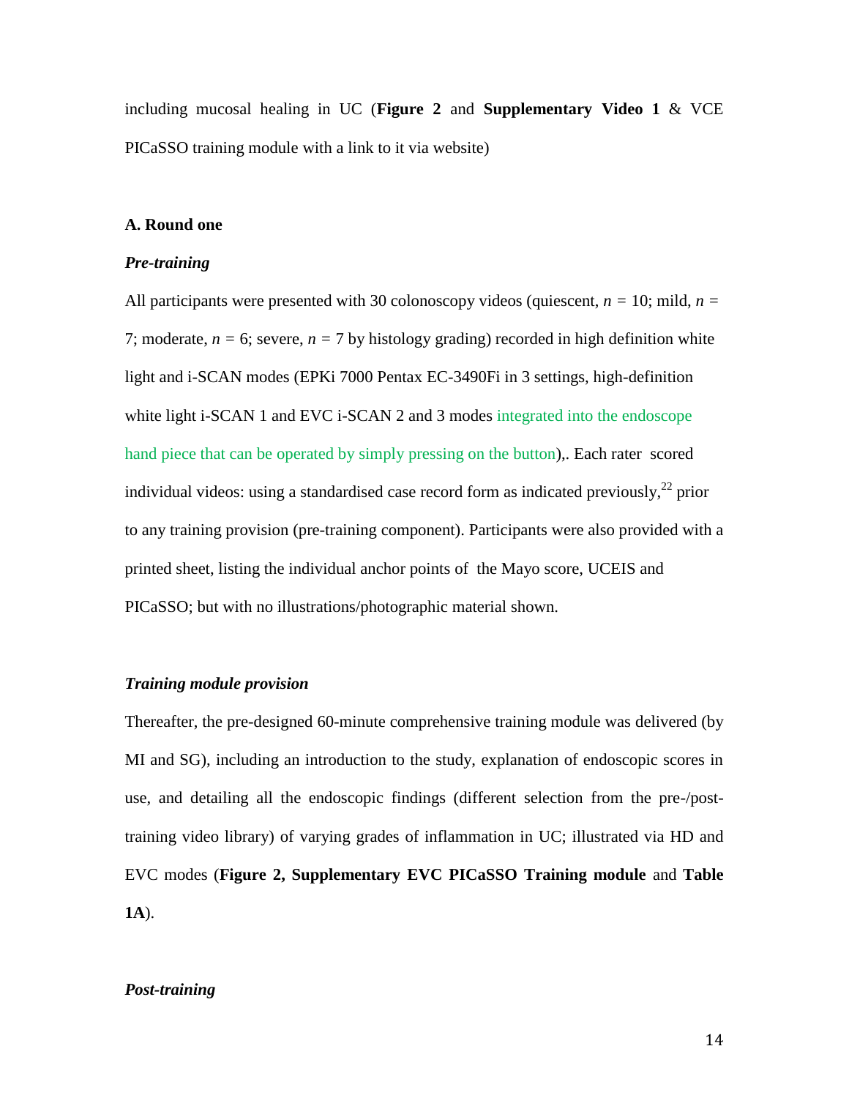including mucosal healing in UC (**Figure 2** and **Supplementary Video 1** & VCE PICaSSO training module with a link to it via website)

#### **A. Round one**

#### *Pre-training*

All participants were presented with 30 colonoscopy videos (quiescent, *n =* 10; mild, *n =* 7; moderate,  $n = 6$ ; severe,  $n = 7$  by histology grading) recorded in high definition white light and i-SCAN modes (EPKi 7000 Pentax EC-3490Fi in 3 settings, high-definition white light i-SCAN 1 and EVC i-SCAN 2 and 3 modes integrated into the endoscope hand piece that can be operated by simply pressing on the button),. Each rater scored individual videos: using a standardised case record form as indicated previously,<sup>22</sup> prior to any training provision (pre-training component). Participants were also provided with a printed sheet, listing the individual anchor points of the Mayo score, UCEIS and PICaSSO; but with no illustrations/photographic material shown.

#### *Training module provision*

Thereafter, the pre-designed 60-minute comprehensive training module was delivered (by MI and SG), including an introduction to the study, explanation of endoscopic scores in use, and detailing all the endoscopic findings (different selection from the pre-/posttraining video library) of varying grades of inflammation in UC; illustrated via HD and EVC modes (**Figure 2, Supplementary EVC PICaSSO Training module** and **Table 1A**).

#### *Post-training*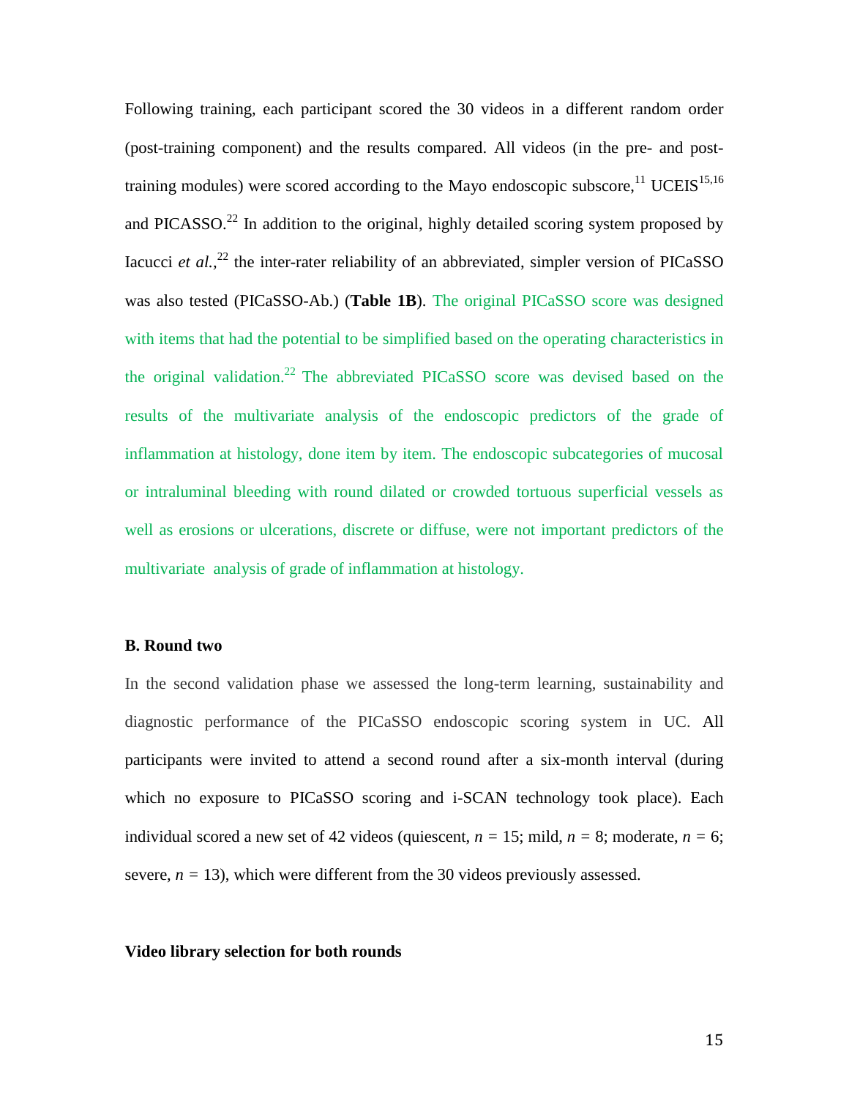Following training, each participant scored the 30 videos in a different random order (post-training component) and the results compared. All videos (in the pre- and posttraining modules) were scored according to the Mayo endoscopic subscore.<sup>11</sup> UCEIS<sup>15,16</sup> and PICASSO.<sup>22</sup> In addition to the original, highly detailed scoring system proposed by Iacucci *et al.*,<sup>22</sup> the inter-rater reliability of an abbreviated, simpler version of PICaSSO was also tested (PICaSSO-Ab.) (**Table 1B**). The original PICaSSO score was designed with items that had the potential to be simplified based on the operating characteristics in the original validation.<sup>22</sup> The abbreviated PICaSSO score was devised based on the results of the multivariate analysis of the endoscopic predictors of the grade of inflammation at histology, done item by item. The endoscopic subcategories of mucosal or intraluminal bleeding with round dilated or crowded tortuous superficial vessels as well as erosions or ulcerations, discrete or diffuse, were not important predictors of the multivariate analysis of grade of inflammation at histology.

#### **B. Round two**

In the second validation phase we assessed the long-term learning, sustainability and diagnostic performance of the PICaSSO endoscopic scoring system in UC. All participants were invited to attend a second round after a six-month interval (during which no exposure to PICaSSO scoring and i-SCAN technology took place). Each individual scored a new set of 42 videos (quiescent,  $n = 15$ ; mild,  $n = 8$ ; moderate,  $n = 6$ ; severe,  $n = 13$ ), which were different from the 30 videos previously assessed.

#### **Video library selection for both rounds**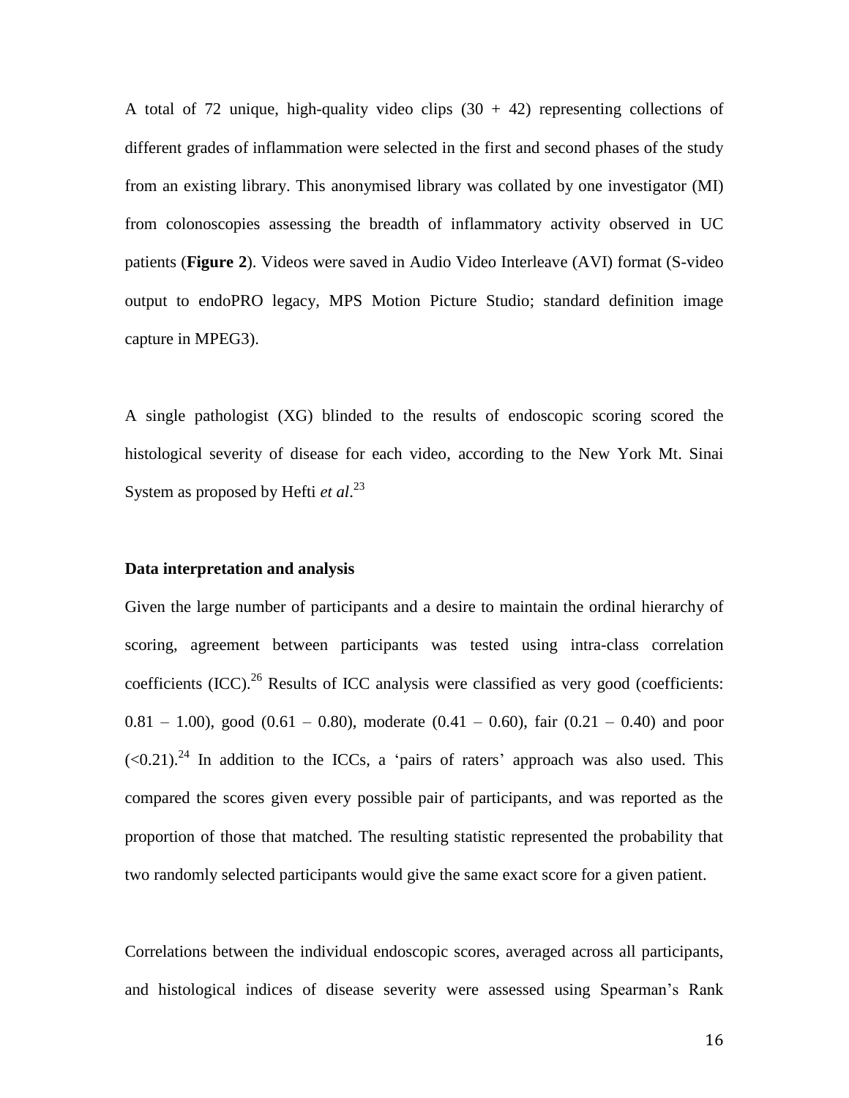A total of 72 unique, high-quality video clips  $(30 + 42)$  representing collections of different grades of inflammation were selected in the first and second phases of the study from an existing library. This anonymised library was collated by one investigator (MI) from colonoscopies assessing the breadth of inflammatory activity observed in UC patients (**Figure 2**). Videos were saved in Audio Video Interleave (AVI) format (S-video output to endoPRO legacy, MPS Motion Picture Studio; standard definition image capture in MPEG3).

A single pathologist (XG) blinded to the results of endoscopic scoring scored the histological severity of disease for each video, according to the New York Mt. Sinai System as proposed by Hefti *et al*. 23

#### **Data interpretation and analysis**

Given the large number of participants and a desire to maintain the ordinal hierarchy of scoring, agreement between participants was tested using intra-class correlation coefficients  $(ICC)$ <sup>26</sup> Results of ICC analysis were classified as very good (coefficients:  $0.81 - 1.00$ , good  $(0.61 - 0.80)$ , moderate  $(0.41 - 0.60)$ , fair  $(0.21 - 0.40)$  and poor  $(<0.21$ )<sup>24</sup> In addition to the ICCs, a 'pairs of raters' approach was also used. This compared the scores given every possible pair of participants, and was reported as the proportion of those that matched. The resulting statistic represented the probability that two randomly selected participants would give the same exact score for a given patient.

Correlations between the individual endoscopic scores, averaged across all participants, and histological indices of disease severity were assessed using Spearman's Rank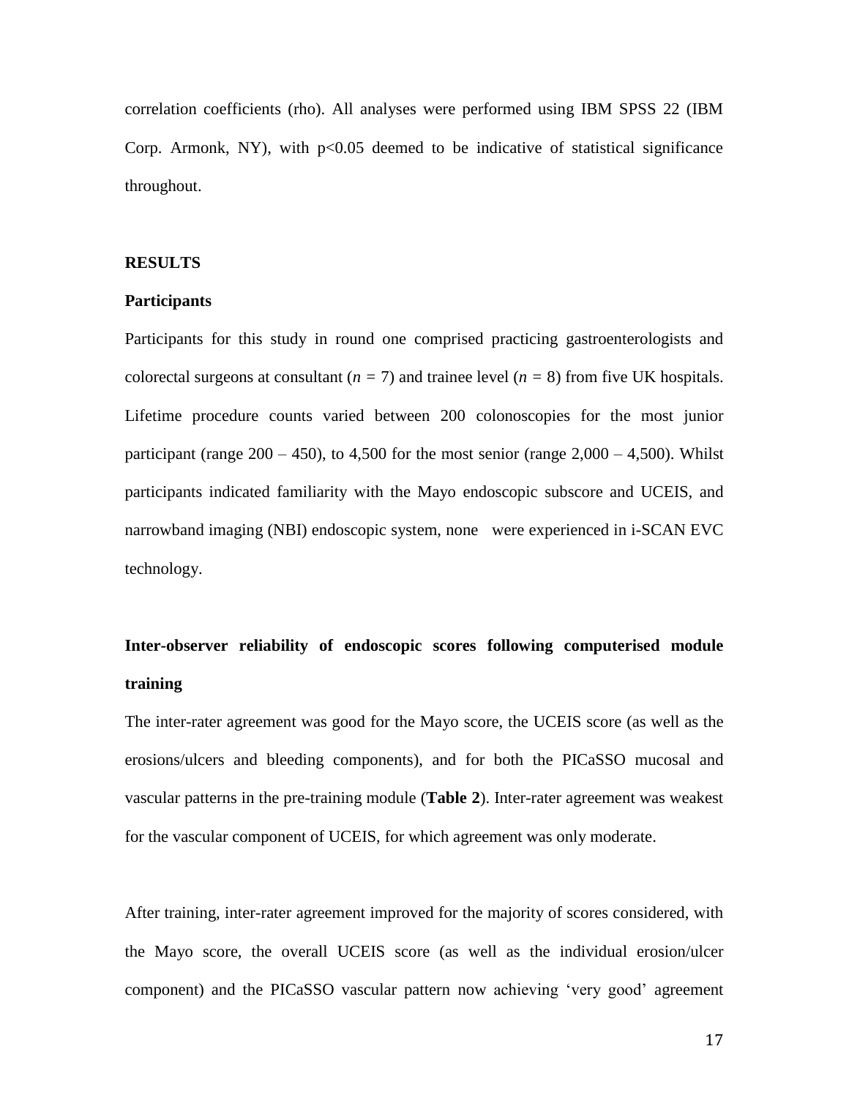correlation coefficients (rho). All analyses were performed using IBM SPSS 22 (IBM Corp. Armonk, NY), with  $p<0.05$  deemed to be indicative of statistical significance throughout.

#### **RESULTS**

#### **Participants**

Participants for this study in round one comprised practicing gastroenterologists and colorectal surgeons at consultant  $(n = 7)$  and trainee level  $(n = 8)$  from five UK hospitals. Lifetime procedure counts varied between 200 colonoscopies for the most junior participant (range  $200 - 450$ ), to  $4,500$  for the most senior (range  $2,000 - 4,500$ ). Whilst participants indicated familiarity with the Mayo endoscopic subscore and UCEIS, and narrowband imaging (NBI) endoscopic system, none were experienced in i-SCAN EVC technology.

# **Inter-observer reliability of endoscopic scores following computerised module training**

The inter-rater agreement was good for the Mayo score, the UCEIS score (as well as the erosions/ulcers and bleeding components), and for both the PICaSSO mucosal and vascular patterns in the pre-training module (**Table 2**). Inter-rater agreement was weakest for the vascular component of UCEIS, for which agreement was only moderate.

After training, inter-rater agreement improved for the majority of scores considered, with the Mayo score, the overall UCEIS score (as well as the individual erosion/ulcer component) and the PICaSSO vascular pattern now achieving 'very good' agreement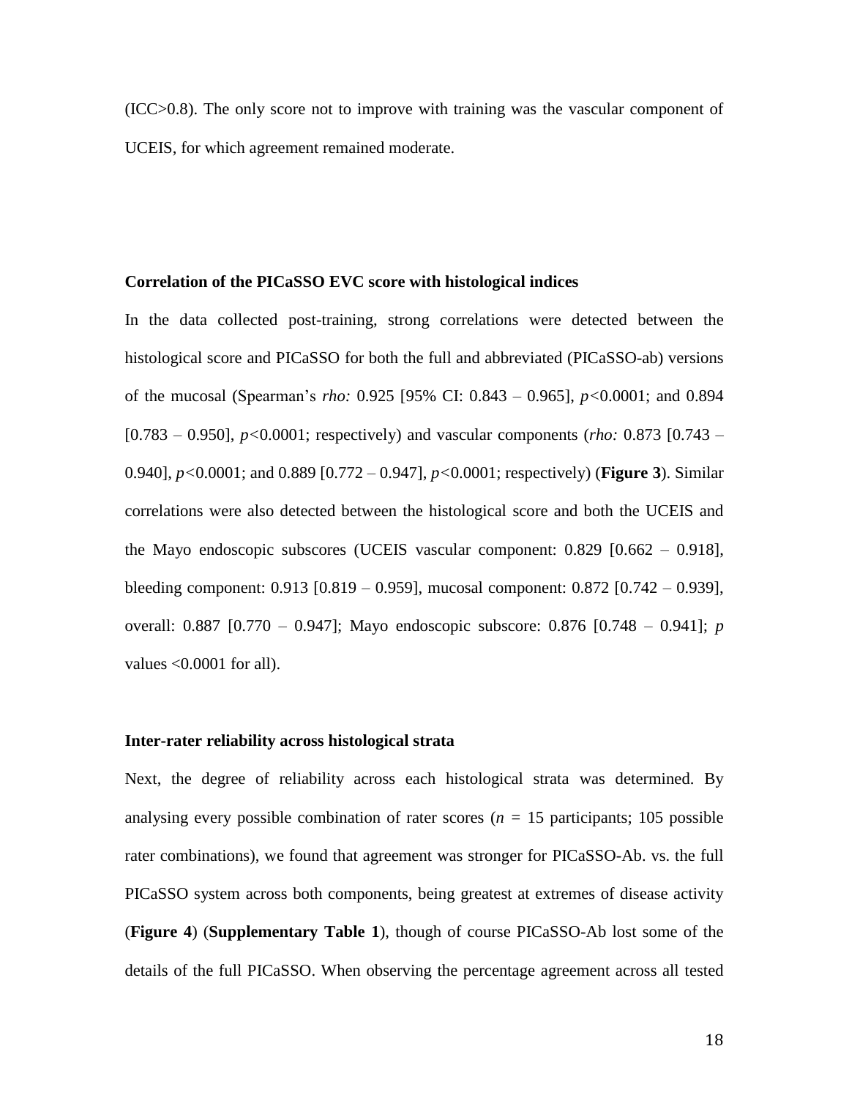(ICC>0.8). The only score not to improve with training was the vascular component of UCEIS, for which agreement remained moderate.

#### **Correlation of the PICaSSO EVC score with histological indices**

In the data collected post-training, strong correlations were detected between the histological score and PICaSSO for both the full and abbreviated (PICaSSO-ab) versions of the mucosal (Spearman's *rho:* 0.925 [95% CI: 0.843 – 0.965], *p<*0.0001; and 0.894 [0.783 – 0.950], *p<*0.0001; respectively) and vascular components (*rho:* 0.873 [0.743 – 0.940], *p<*0.0001; and 0.889 [0.772 – 0.947], *p<*0.0001; respectively) (**Figure 3**). Similar correlations were also detected between the histological score and both the UCEIS and the Mayo endoscopic subscores (UCEIS vascular component: 0.829 [0.662 – 0.918], bleeding component: 0.913 [0.819 – 0.959], mucosal component: 0.872 [0.742 – 0.939], overall: 0.887 [0.770 – 0.947]; Mayo endoscopic subscore: 0.876 [0.748 – 0.941]; *p*  values  $\leq 0.0001$  for all).

#### **Inter-rater reliability across histological strata**

Next, the degree of reliability across each histological strata was determined. By analysing every possible combination of rater scores ( $n = 15$  participants; 105 possible rater combinations), we found that agreement was stronger for PICaSSO-Ab. vs. the full PICaSSO system across both components, being greatest at extremes of disease activity (**Figure 4**) (**Supplementary Table 1**), though of course PICaSSO-Ab lost some of the details of the full PICaSSO. When observing the percentage agreement across all tested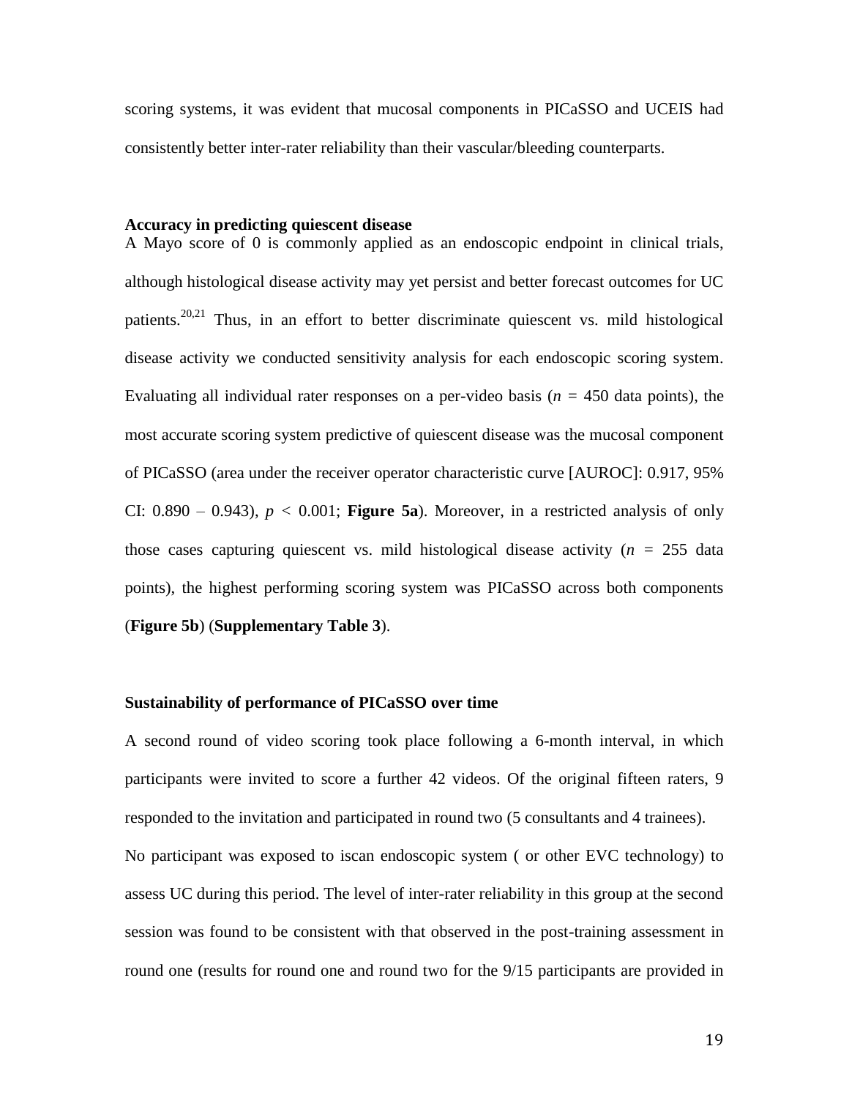scoring systems, it was evident that mucosal components in PICaSSO and UCEIS had consistently better inter-rater reliability than their vascular/bleeding counterparts.

#### **Accuracy in predicting quiescent disease**

A Mayo score of 0 is commonly applied as an endoscopic endpoint in clinical trials, although histological disease activity may yet persist and better forecast outcomes for UC patients.  $20,21$  Thus, in an effort to better discriminate quiescent vs. mild histological disease activity we conducted sensitivity analysis for each endoscopic scoring system. Evaluating all individual rater responses on a per-video basis ( $n = 450$  data points), the most accurate scoring system predictive of quiescent disease was the mucosal component of PICaSSO (area under the receiver operator characteristic curve [AUROC]: 0.917, 95% CI:  $0.890 - 0.943$ ,  $p < 0.001$ ; **Figure 5a**). Moreover, in a restricted analysis of only those cases capturing quiescent vs. mild histological disease activity (*n =* 255 data points), the highest performing scoring system was PICaSSO across both components (**Figure 5b**) (**Supplementary Table 3**).

#### **Sustainability of performance of PICaSSO over time**

A second round of video scoring took place following a 6-month interval, in which participants were invited to score a further 42 videos. Of the original fifteen raters, 9 responded to the invitation and participated in round two (5 consultants and 4 trainees). No participant was exposed to iscan endoscopic system ( or other EVC technology) to assess UC during this period. The level of inter-rater reliability in this group at the second session was found to be consistent with that observed in the post-training assessment in round one (results for round one and round two for the 9/15 participants are provided in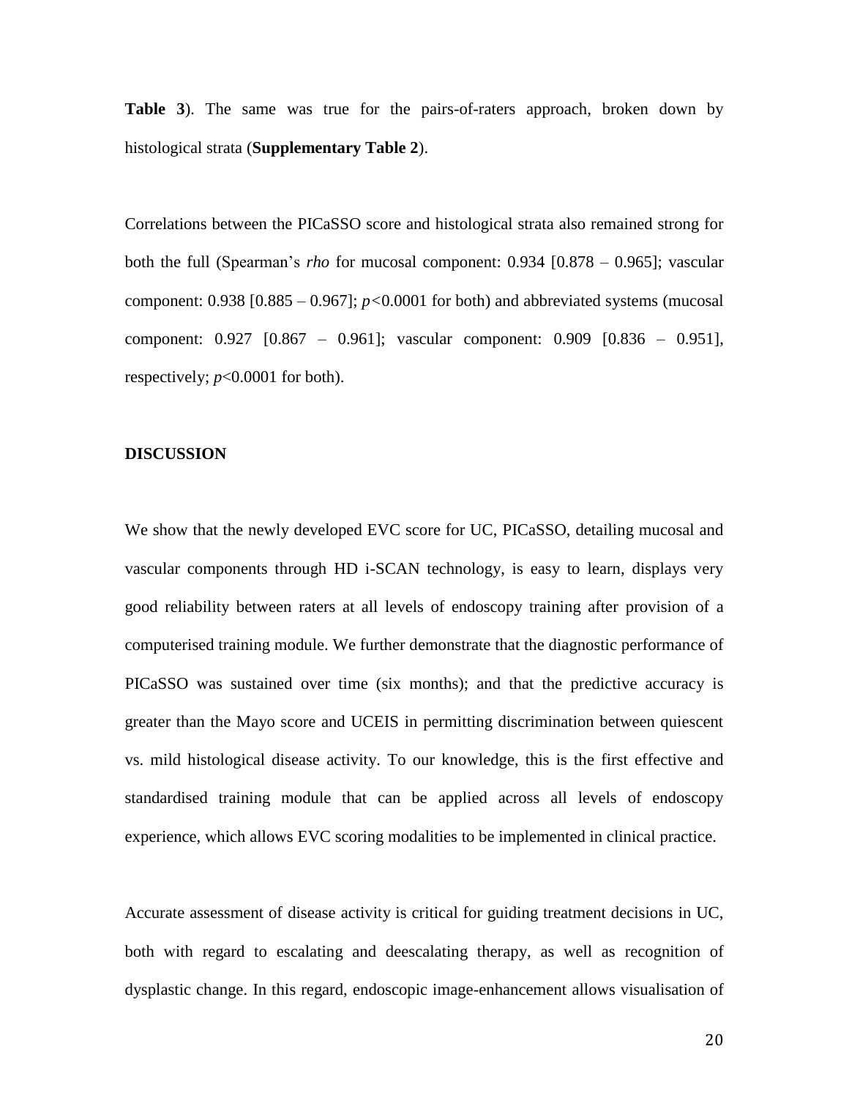**Table 3**). The same was true for the pairs-of-raters approach, broken down by histological strata (**Supplementary Table 2**).

Correlations between the PICaSSO score and histological strata also remained strong for both the full (Spearman's *rho* for mucosal component: 0.934 [0.878 – 0.965]; vascular component:  $0.938$  [ $0.885 - 0.967$ ];  $p < 0.0001$  for both) and abbreviated systems (mucosal component: 0.927 [0.867 – 0.961]; vascular component: 0.909 [0.836 – 0.951], respectively; *p*<0.0001 for both).

#### **DISCUSSION**

We show that the newly developed EVC score for UC, PICaSSO, detailing mucosal and vascular components through HD i-SCAN technology, is easy to learn, displays very good reliability between raters at all levels of endoscopy training after provision of a computerised training module. We further demonstrate that the diagnostic performance of PICaSSO was sustained over time (six months); and that the predictive accuracy is greater than the Mayo score and UCEIS in permitting discrimination between quiescent vs. mild histological disease activity. To our knowledge, this is the first effective and standardised training module that can be applied across all levels of endoscopy experience, which allows EVC scoring modalities to be implemented in clinical practice.

Accurate assessment of disease activity is critical for guiding treatment decisions in UC, both with regard to escalating and deescalating therapy, as well as recognition of dysplastic change. In this regard, endoscopic image-enhancement allows visualisation of

20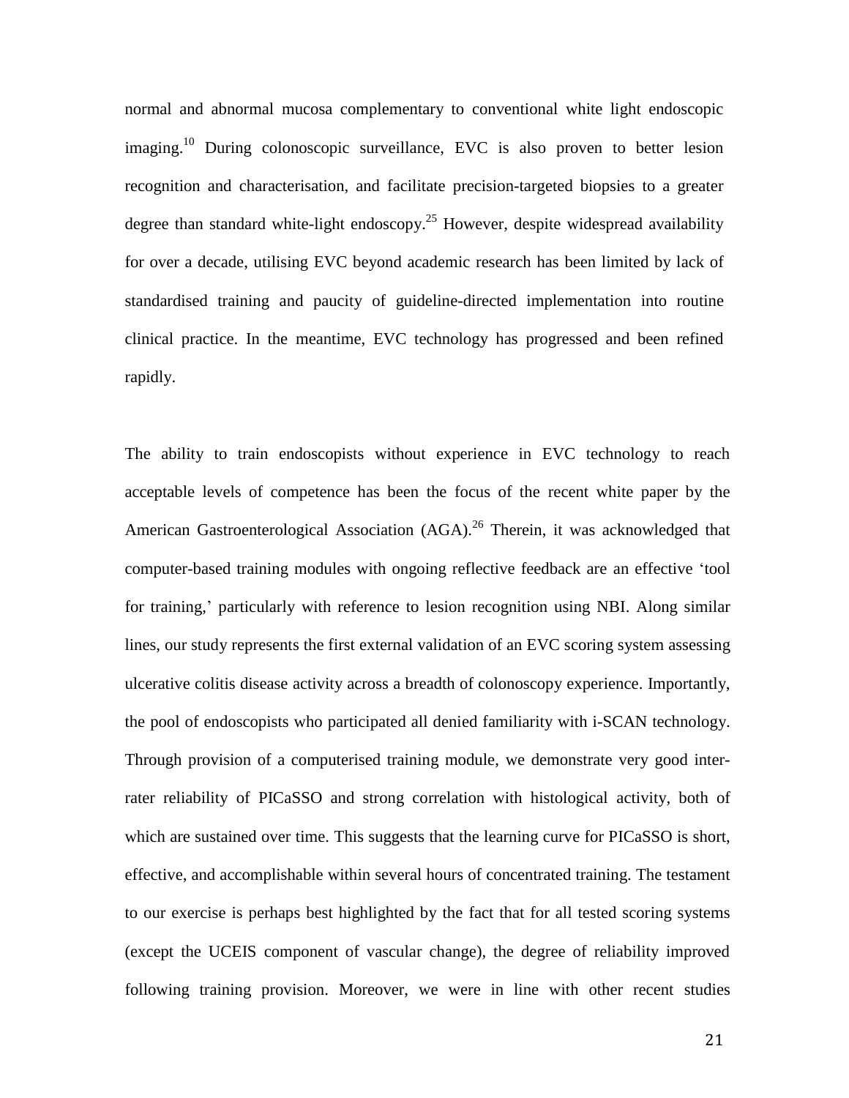normal and abnormal mucosa complementary to conventional white light endoscopic imaging.<sup>10</sup> During colonoscopic surveillance, EVC is also proven to better lesion recognition and characterisation, and facilitate precision-targeted biopsies to a greater degree than standard white-light endoscopy.<sup>25</sup> However, despite widespread availability for over a decade, utilising EVC beyond academic research has been limited by lack of standardised training and paucity of guideline-directed implementation into routine clinical practice. In the meantime, EVC technology has progressed and been refined rapidly.

The ability to train endoscopists without experience in EVC technology to reach acceptable levels of competence has been the focus of the recent white paper by the American Gastroenterological Association (AGA).<sup>26</sup> Therein, it was acknowledged that computer-based training modules with ongoing reflective feedback are an effective 'tool for training,' particularly with reference to lesion recognition using NBI. Along similar lines, our study represents the first external validation of an EVC scoring system assessing ulcerative colitis disease activity across a breadth of colonoscopy experience. Importantly, the pool of endoscopists who participated all denied familiarity with i-SCAN technology. Through provision of a computerised training module, we demonstrate very good interrater reliability of PICaSSO and strong correlation with histological activity, both of which are sustained over time. This suggests that the learning curve for PICaSSO is short, effective, and accomplishable within several hours of concentrated training. The testament to our exercise is perhaps best highlighted by the fact that for all tested scoring systems (except the UCEIS component of vascular change), the degree of reliability improved following training provision. Moreover, we were in line with other recent studies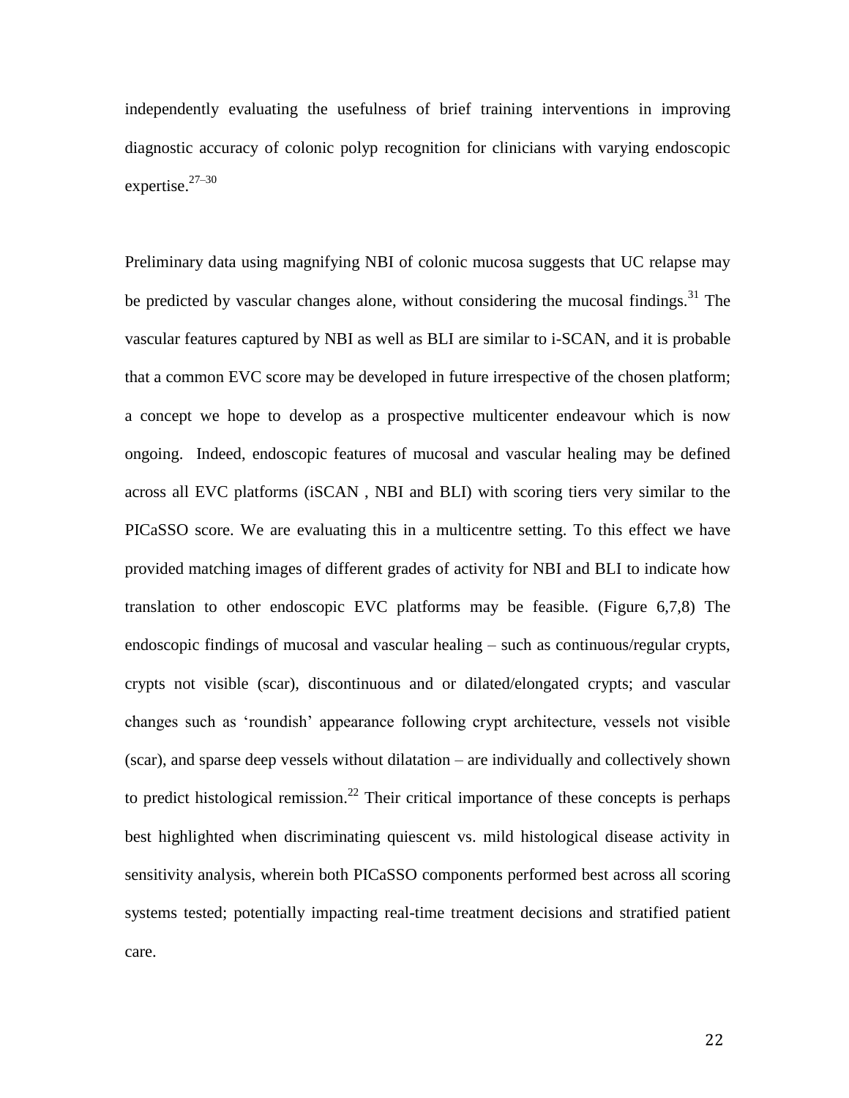independently evaluating the usefulness of brief training interventions in improving diagnostic accuracy of colonic polyp recognition for clinicians with varying endoscopic expertise. $27-30$ 

Preliminary data using magnifying NBI of colonic mucosa suggests that UC relapse may be predicted by vascular changes alone, without considering the mucosal findings.<sup>31</sup> The vascular features captured by NBI as well as BLI are similar to i-SCAN, and it is probable that a common EVC score may be developed in future irrespective of the chosen platform; a concept we hope to develop as a prospective multicenter endeavour which is now ongoing. Indeed, endoscopic features of mucosal and vascular healing may be defined across all EVC platforms (iSCAN , NBI and BLI) with scoring tiers very similar to the PICaSSO score. We are evaluating this in a multicentre setting. To this effect we have provided matching images of different grades of activity for NBI and BLI to indicate how translation to other endoscopic EVC platforms may be feasible. (Figure 6,7,8) The endoscopic findings of mucosal and vascular healing – such as continuous/regular crypts, crypts not visible (scar), discontinuous and or dilated/elongated crypts; and vascular changes such as 'roundish' appearance following crypt architecture, vessels not visible (scar), and sparse deep vessels without dilatation – are individually and collectively shown to predict histological remission.<sup>22</sup> Their critical importance of these concepts is perhaps best highlighted when discriminating quiescent vs. mild histological disease activity in sensitivity analysis, wherein both PICaSSO components performed best across all scoring systems tested; potentially impacting real-time treatment decisions and stratified patient care.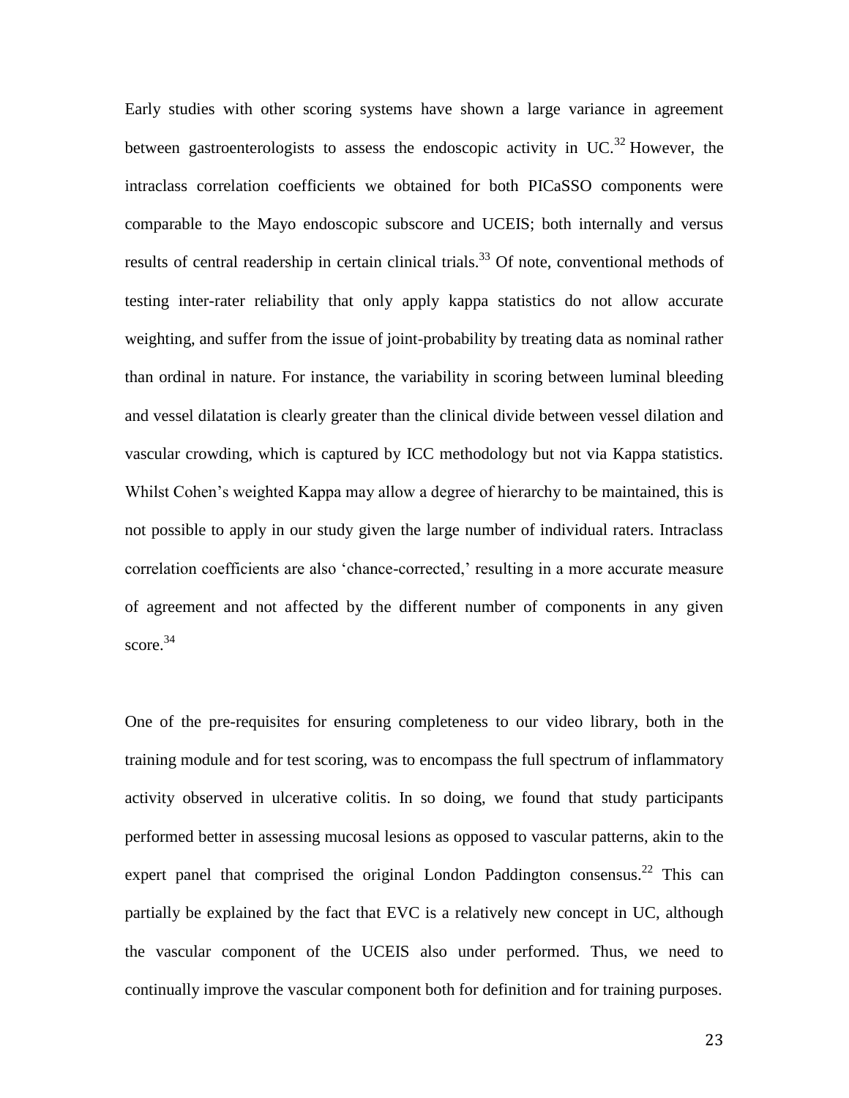Early studies with other scoring systems have shown a large variance in agreement between gastroenterologists to assess the endoscopic activity in UC.<sup>32</sup> However, the intraclass correlation coefficients we obtained for both PICaSSO components were comparable to the Mayo endoscopic subscore and UCEIS; both internally and versus results of central readership in certain clinical trials.<sup>33</sup> Of note, conventional methods of testing inter-rater reliability that only apply kappa statistics do not allow accurate weighting, and suffer from the issue of joint-probability by treating data as nominal rather than ordinal in nature. For instance, the variability in scoring between luminal bleeding and vessel dilatation is clearly greater than the clinical divide between vessel dilation and vascular crowding, which is captured by ICC methodology but not via Kappa statistics. Whilst Cohen's weighted Kappa may allow a degree of hierarchy to be maintained, this is not possible to apply in our study given the large number of individual raters. Intraclass correlation coefficients are also 'chance-corrected,' resulting in a more accurate measure of agreement and not affected by the different number of components in any given score.<sup>34</sup>

One of the pre-requisites for ensuring completeness to our video library, both in the training module and for test scoring, was to encompass the full spectrum of inflammatory activity observed in ulcerative colitis. In so doing, we found that study participants performed better in assessing mucosal lesions as opposed to vascular patterns, akin to the expert panel that comprised the original London Paddington consensus.<sup>22</sup> This can partially be explained by the fact that EVC is a relatively new concept in UC, although the vascular component of the UCEIS also under performed. Thus, we need to continually improve the vascular component both for definition and for training purposes.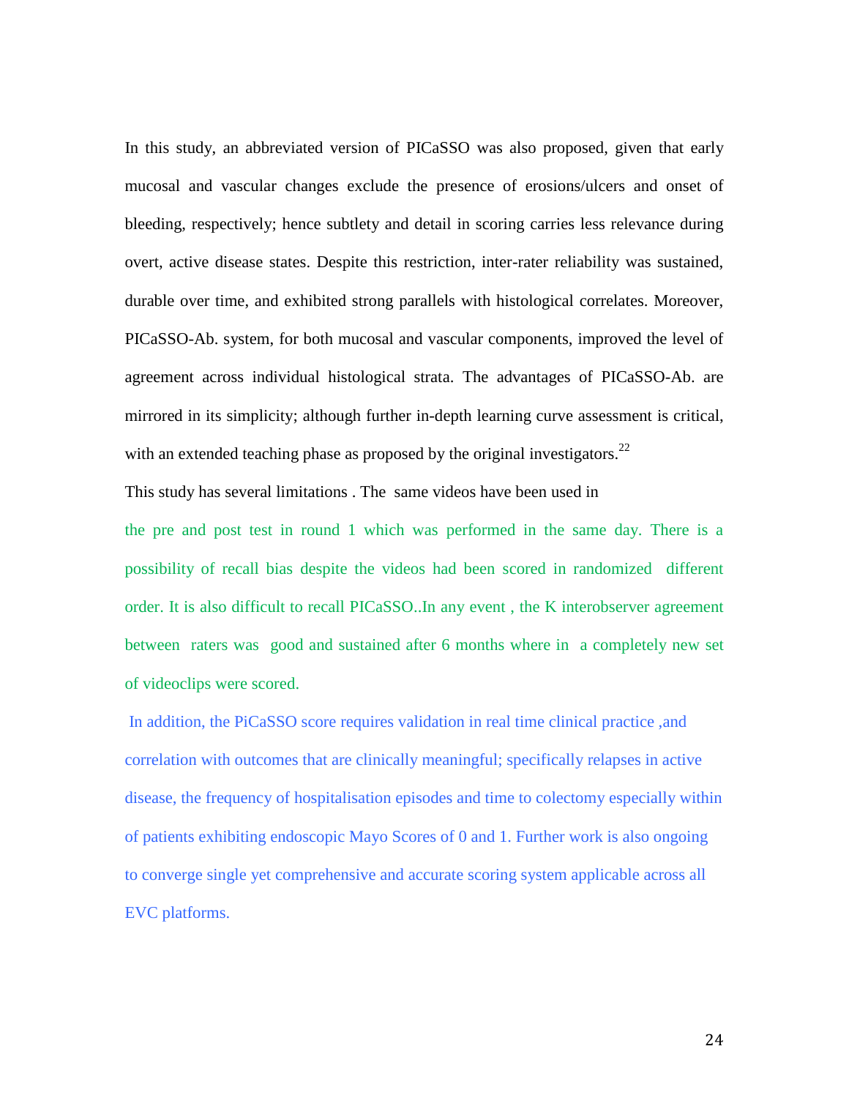In this study, an abbreviated version of PICaSSO was also proposed, given that early mucosal and vascular changes exclude the presence of erosions/ulcers and onset of bleeding, respectively; hence subtlety and detail in scoring carries less relevance during overt, active disease states. Despite this restriction, inter-rater reliability was sustained, durable over time, and exhibited strong parallels with histological correlates. Moreover, PICaSSO-Ab. system, for both mucosal and vascular components, improved the level of agreement across individual histological strata. The advantages of PICaSSO-Ab. are mirrored in its simplicity; although further in-depth learning curve assessment is critical, with an extended teaching phase as proposed by the original investigators.<sup>22</sup>

This study has several limitations . The same videos have been used in

the pre and post test in round 1 which was performed in the same day. There is a possibility of recall bias despite the videos had been scored in randomized different order. It is also difficult to recall PICaSSO..In any event , the K interobserver agreement between raters was good and sustained after 6 months where in a completely new set of videoclips were scored.

In addition, the PiCaSSO score requires validation in real time clinical practice ,and correlation with outcomes that are clinically meaningful; specifically relapses in active disease, the frequency of hospitalisation episodes and time to colectomy especially within of patients exhibiting endoscopic Mayo Scores of 0 and 1. Further work is also ongoing to converge single yet comprehensive and accurate scoring system applicable across all EVC platforms.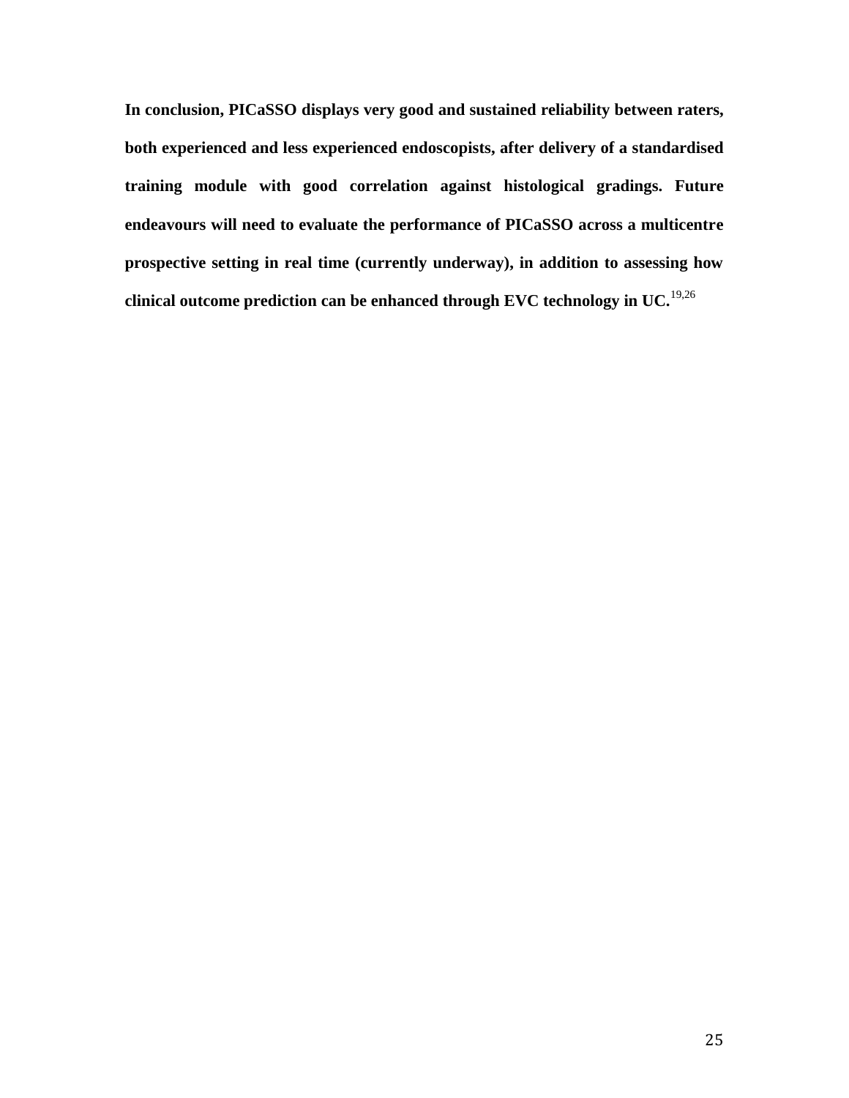**In conclusion, PICaSSO displays very good and sustained reliability between raters, both experienced and less experienced endoscopists, after delivery of a standardised training module with good correlation against histological gradings. Future endeavours will need to evaluate the performance of PICaSSO across a multicentre prospective setting in real time (currently underway), in addition to assessing how clinical outcome prediction can be enhanced through EVC technology in UC.**19,26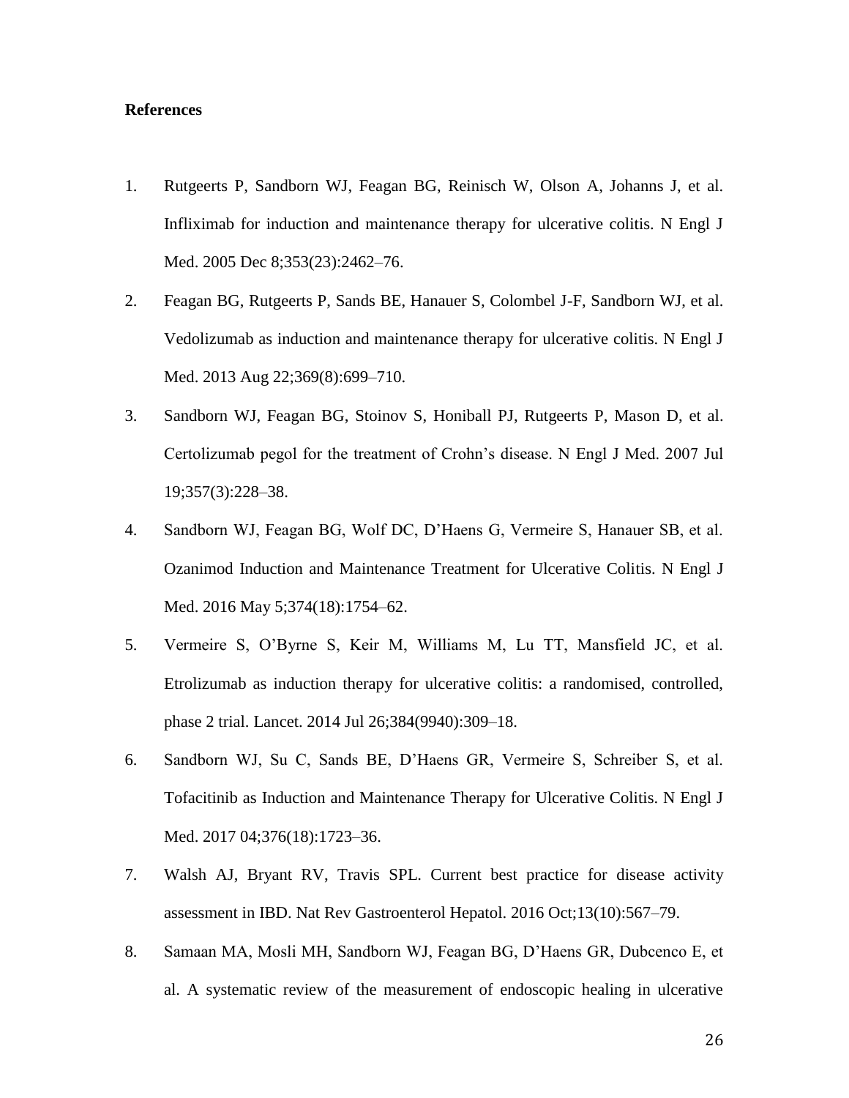#### **References**

- 1. Rutgeerts P, Sandborn WJ, Feagan BG, Reinisch W, Olson A, Johanns J, et al. Infliximab for induction and maintenance therapy for ulcerative colitis. N Engl J Med. 2005 Dec 8;353(23):2462–76.
- 2. Feagan BG, Rutgeerts P, Sands BE, Hanauer S, Colombel J-F, Sandborn WJ, et al. Vedolizumab as induction and maintenance therapy for ulcerative colitis. N Engl J Med. 2013 Aug 22;369(8):699–710.
- 3. Sandborn WJ, Feagan BG, Stoinov S, Honiball PJ, Rutgeerts P, Mason D, et al. Certolizumab pegol for the treatment of Crohn's disease. N Engl J Med. 2007 Jul 19;357(3):228–38.
- 4. Sandborn WJ, Feagan BG, Wolf DC, D'Haens G, Vermeire S, Hanauer SB, et al. Ozanimod Induction and Maintenance Treatment for Ulcerative Colitis. N Engl J Med. 2016 May 5;374(18):1754–62.
- 5. Vermeire S, O'Byrne S, Keir M, Williams M, Lu TT, Mansfield JC, et al. Etrolizumab as induction therapy for ulcerative colitis: a randomised, controlled, phase 2 trial. Lancet. 2014 Jul 26;384(9940):309–18.
- 6. Sandborn WJ, Su C, Sands BE, D'Haens GR, Vermeire S, Schreiber S, et al. Tofacitinib as Induction and Maintenance Therapy for Ulcerative Colitis. N Engl J Med. 2017 04;376(18):1723–36.
- 7. Walsh AJ, Bryant RV, Travis SPL. Current best practice for disease activity assessment in IBD. Nat Rev Gastroenterol Hepatol. 2016 Oct;13(10):567–79.
- 8. Samaan MA, Mosli MH, Sandborn WJ, Feagan BG, D'Haens GR, Dubcenco E, et al. A systematic review of the measurement of endoscopic healing in ulcerative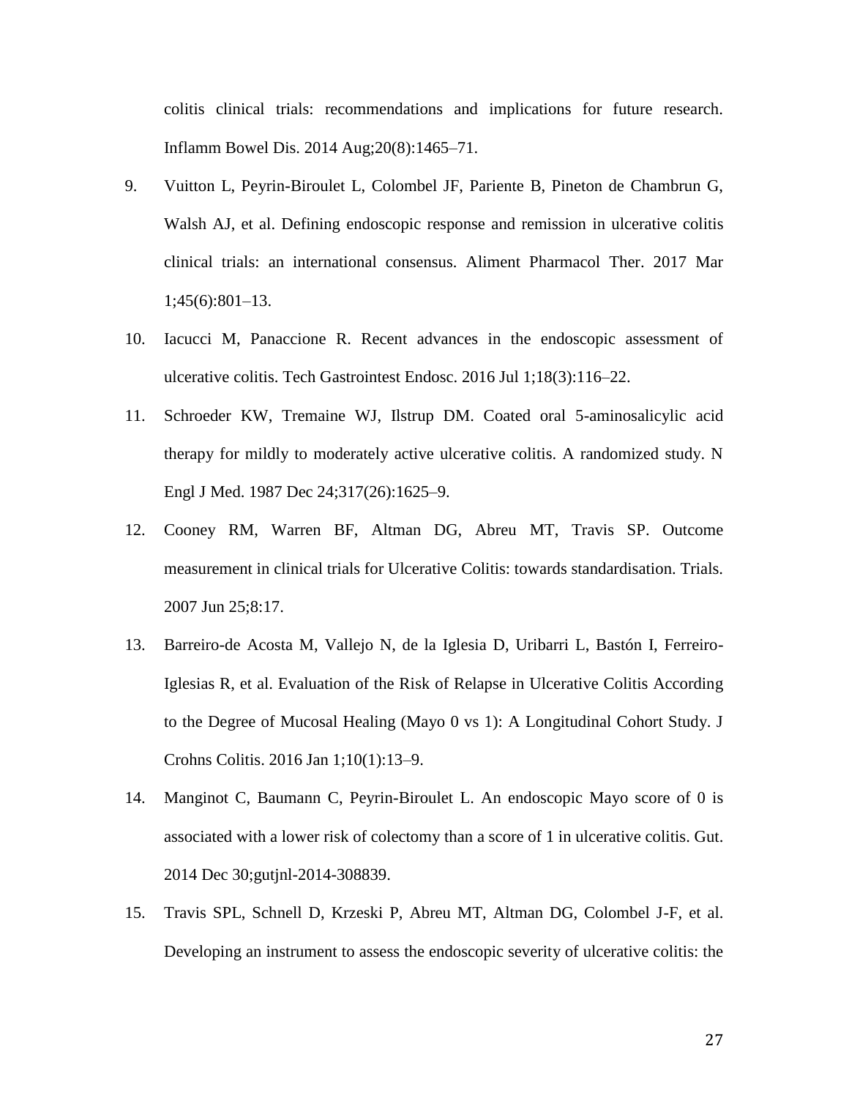colitis clinical trials: recommendations and implications for future research. Inflamm Bowel Dis. 2014 Aug;20(8):1465–71.

- 9. Vuitton L, Peyrin-Biroulet L, Colombel JF, Pariente B, Pineton de Chambrun G, Walsh AJ, et al. Defining endoscopic response and remission in ulcerative colitis clinical trials: an international consensus. Aliment Pharmacol Ther. 2017 Mar 1;45(6):801–13.
- 10. Iacucci M, Panaccione R. Recent advances in the endoscopic assessment of ulcerative colitis. Tech Gastrointest Endosc. 2016 Jul 1;18(3):116–22.
- 11. Schroeder KW, Tremaine WJ, Ilstrup DM. Coated oral 5-aminosalicylic acid therapy for mildly to moderately active ulcerative colitis. A randomized study. N Engl J Med. 1987 Dec 24;317(26):1625–9.
- 12. Cooney RM, Warren BF, Altman DG, Abreu MT, Travis SP. Outcome measurement in clinical trials for Ulcerative Colitis: towards standardisation. Trials. 2007 Jun 25;8:17.
- 13. Barreiro-de Acosta M, Vallejo N, de la Iglesia D, Uribarri L, Bastón I, Ferreiro-Iglesias R, et al. Evaluation of the Risk of Relapse in Ulcerative Colitis According to the Degree of Mucosal Healing (Mayo 0 vs 1): A Longitudinal Cohort Study. J Crohns Colitis. 2016 Jan 1;10(1):13–9.
- 14. Manginot C, Baumann C, Peyrin-Biroulet L. An endoscopic Mayo score of 0 is associated with a lower risk of colectomy than a score of 1 in ulcerative colitis. Gut. 2014 Dec 30;gutjnl-2014-308839.
- 15. Travis SPL, Schnell D, Krzeski P, Abreu MT, Altman DG, Colombel J-F, et al. Developing an instrument to assess the endoscopic severity of ulcerative colitis: the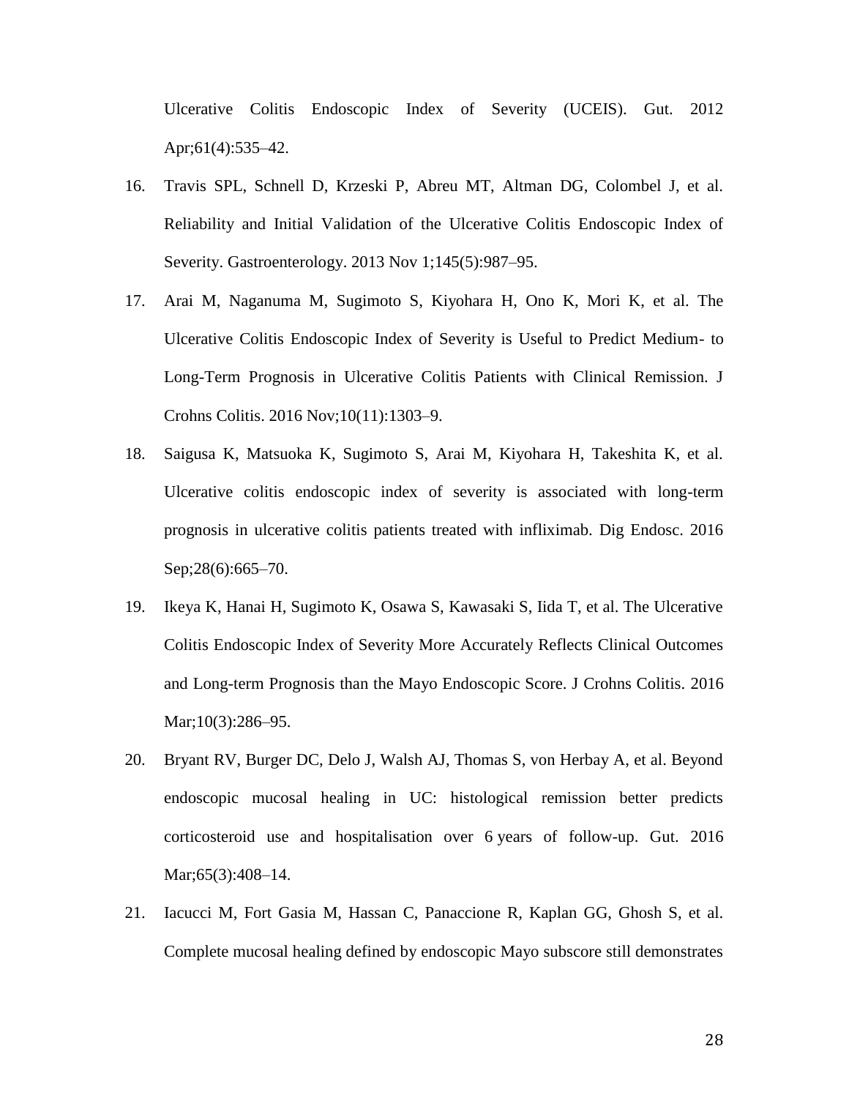Ulcerative Colitis Endoscopic Index of Severity (UCEIS). Gut. 2012 Apr;61(4):535–42.

- 16. Travis SPL, Schnell D, Krzeski P, Abreu MT, Altman DG, Colombel J, et al. Reliability and Initial Validation of the Ulcerative Colitis Endoscopic Index of Severity. Gastroenterology. 2013 Nov 1;145(5):987–95.
- 17. Arai M, Naganuma M, Sugimoto S, Kiyohara H, Ono K, Mori K, et al. The Ulcerative Colitis Endoscopic Index of Severity is Useful to Predict Medium- to Long-Term Prognosis in Ulcerative Colitis Patients with Clinical Remission. J Crohns Colitis. 2016 Nov;10(11):1303–9.
- 18. Saigusa K, Matsuoka K, Sugimoto S, Arai M, Kiyohara H, Takeshita K, et al. Ulcerative colitis endoscopic index of severity is associated with long-term prognosis in ulcerative colitis patients treated with infliximab. Dig Endosc. 2016 Sep; 28(6): 665–70.
- 19. Ikeya K, Hanai H, Sugimoto K, Osawa S, Kawasaki S, Iida T, et al. The Ulcerative Colitis Endoscopic Index of Severity More Accurately Reflects Clinical Outcomes and Long-term Prognosis than the Mayo Endoscopic Score. J Crohns Colitis. 2016 Mar;10(3):286–95.
- 20. Bryant RV, Burger DC, Delo J, Walsh AJ, Thomas S, von Herbay A, et al. Beyond endoscopic mucosal healing in UC: histological remission better predicts corticosteroid use and hospitalisation over 6 years of follow-up. Gut. 2016 Mar;65(3):408–14.
- 21. Iacucci M, Fort Gasia M, Hassan C, Panaccione R, Kaplan GG, Ghosh S, et al. Complete mucosal healing defined by endoscopic Mayo subscore still demonstrates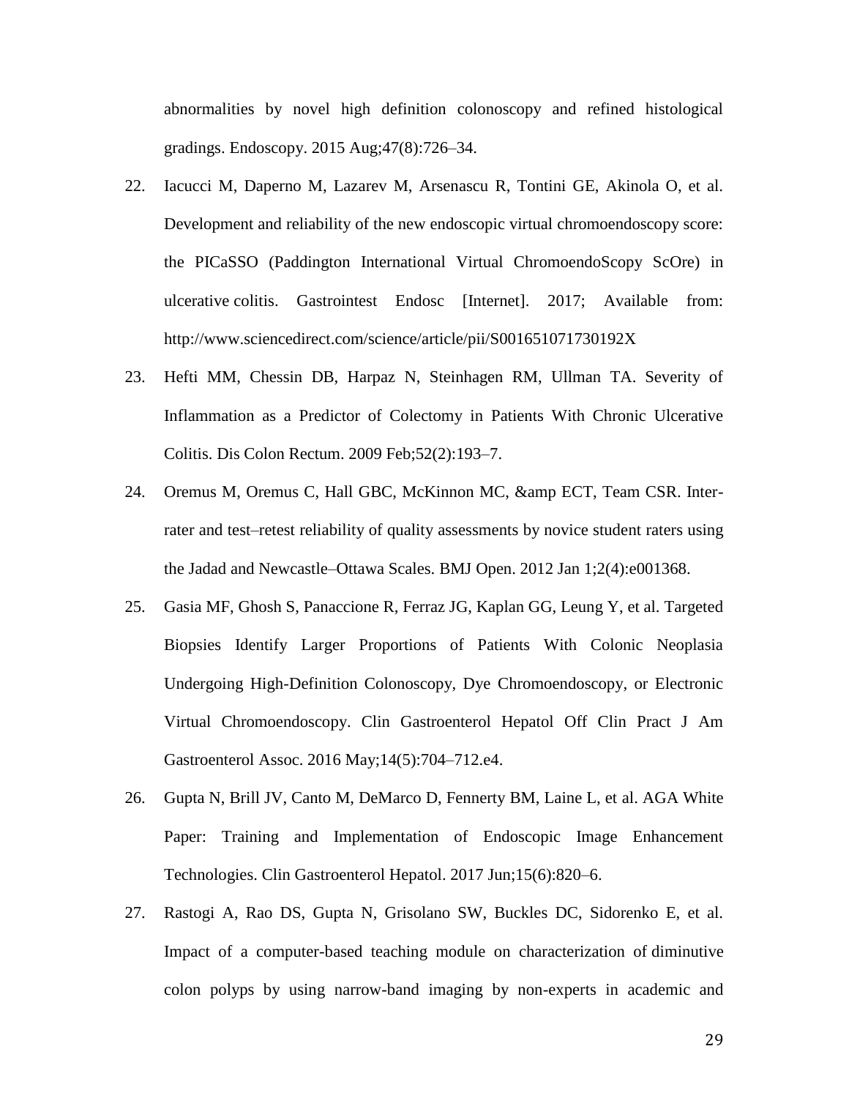abnormalities by novel high definition colonoscopy and refined histological gradings. Endoscopy. 2015 Aug;47(8):726–34.

- 22. Iacucci M, Daperno M, Lazarev M, Arsenascu R, Tontini GE, Akinola O, et al. Development and reliability of the new endoscopic virtual chromoendoscopy score: the PICaSSO (Paddington International Virtual ChromoendoScopy ScOre) in ulcerative colitis. Gastrointest Endosc [Internet]. 2017; Available from: http://www.sciencedirect.com/science/article/pii/S001651071730192X
- 23. Hefti MM, Chessin DB, Harpaz N, Steinhagen RM, Ullman TA. Severity of Inflammation as a Predictor of Colectomy in Patients With Chronic Ulcerative Colitis. Dis Colon Rectum. 2009 Feb;52(2):193–7.
- 24. Oremus M, Oremus C, Hall GBC, McKinnon MC, & amp ECT, Team CSR. Interrater and test–retest reliability of quality assessments by novice student raters using the Jadad and Newcastle–Ottawa Scales. BMJ Open. 2012 Jan 1;2(4):e001368.
- 25. Gasia MF, Ghosh S, Panaccione R, Ferraz JG, Kaplan GG, Leung Y, et al. Targeted Biopsies Identify Larger Proportions of Patients With Colonic Neoplasia Undergoing High-Definition Colonoscopy, Dye Chromoendoscopy, or Electronic Virtual Chromoendoscopy. Clin Gastroenterol Hepatol Off Clin Pract J Am Gastroenterol Assoc. 2016 May;14(5):704–712.e4.
- 26. Gupta N, Brill JV, Canto M, DeMarco D, Fennerty BM, Laine L, et al. AGA White Paper: Training and Implementation of Endoscopic Image Enhancement Technologies. Clin Gastroenterol Hepatol. 2017 Jun;15(6):820–6.
- 27. Rastogi A, Rao DS, Gupta N, Grisolano SW, Buckles DC, Sidorenko E, et al. Impact of a computer-based teaching module on characterization of diminutive colon polyps by using narrow-band imaging by non-experts in academic and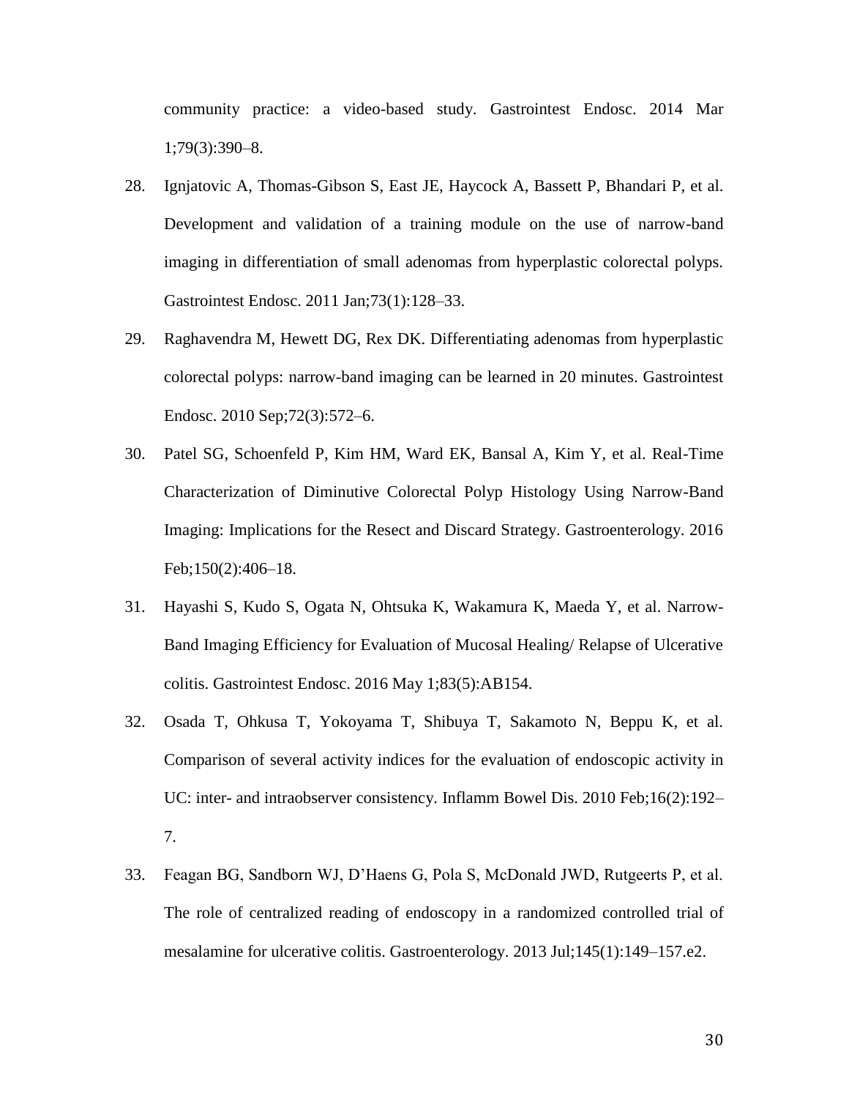community practice: a video-based study. Gastrointest Endosc. 2014 Mar 1;79(3):390–8.

- 28. Ignjatovic A, Thomas-Gibson S, East JE, Haycock A, Bassett P, Bhandari P, et al. Development and validation of a training module on the use of narrow-band imaging in differentiation of small adenomas from hyperplastic colorectal polyps. Gastrointest Endosc. 2011 Jan;73(1):128–33.
- 29. Raghavendra M, Hewett DG, Rex DK. Differentiating adenomas from hyperplastic colorectal polyps: narrow-band imaging can be learned in 20 minutes. Gastrointest Endosc. 2010 Sep;72(3):572–6.
- 30. Patel SG, Schoenfeld P, Kim HM, Ward EK, Bansal A, Kim Y, et al. Real-Time Characterization of Diminutive Colorectal Polyp Histology Using Narrow-Band Imaging: Implications for the Resect and Discard Strategy. Gastroenterology. 2016 Feb;150(2):406–18.
- 31. Hayashi S, Kudo S, Ogata N, Ohtsuka K, Wakamura K, Maeda Y, et al. Narrow-Band Imaging Efficiency for Evaluation of Mucosal Healing/ Relapse of Ulcerative colitis. Gastrointest Endosc. 2016 May 1;83(5):AB154.
- 32. Osada T, Ohkusa T, Yokoyama T, Shibuya T, Sakamoto N, Beppu K, et al. Comparison of several activity indices for the evaluation of endoscopic activity in UC: inter- and intraobserver consistency. Inflamm Bowel Dis. 2010 Feb;16(2):192– 7.
- 33. Feagan BG, Sandborn WJ, D'Haens G, Pola S, McDonald JWD, Rutgeerts P, et al. The role of centralized reading of endoscopy in a randomized controlled trial of mesalamine for ulcerative colitis. Gastroenterology. 2013 Jul;145(1):149–157.e2.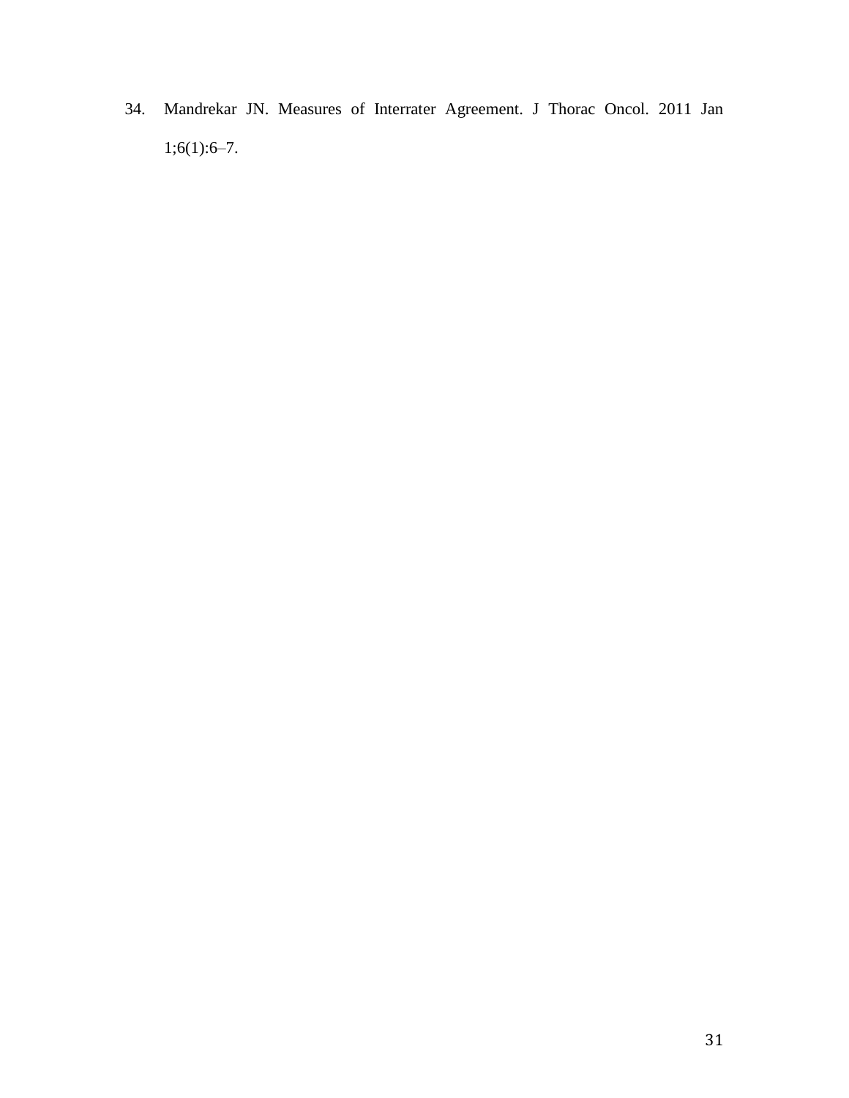34. Mandrekar JN. Measures of Interrater Agreement. J Thorac Oncol. 2011 Jan  $1;6(1):6-7.$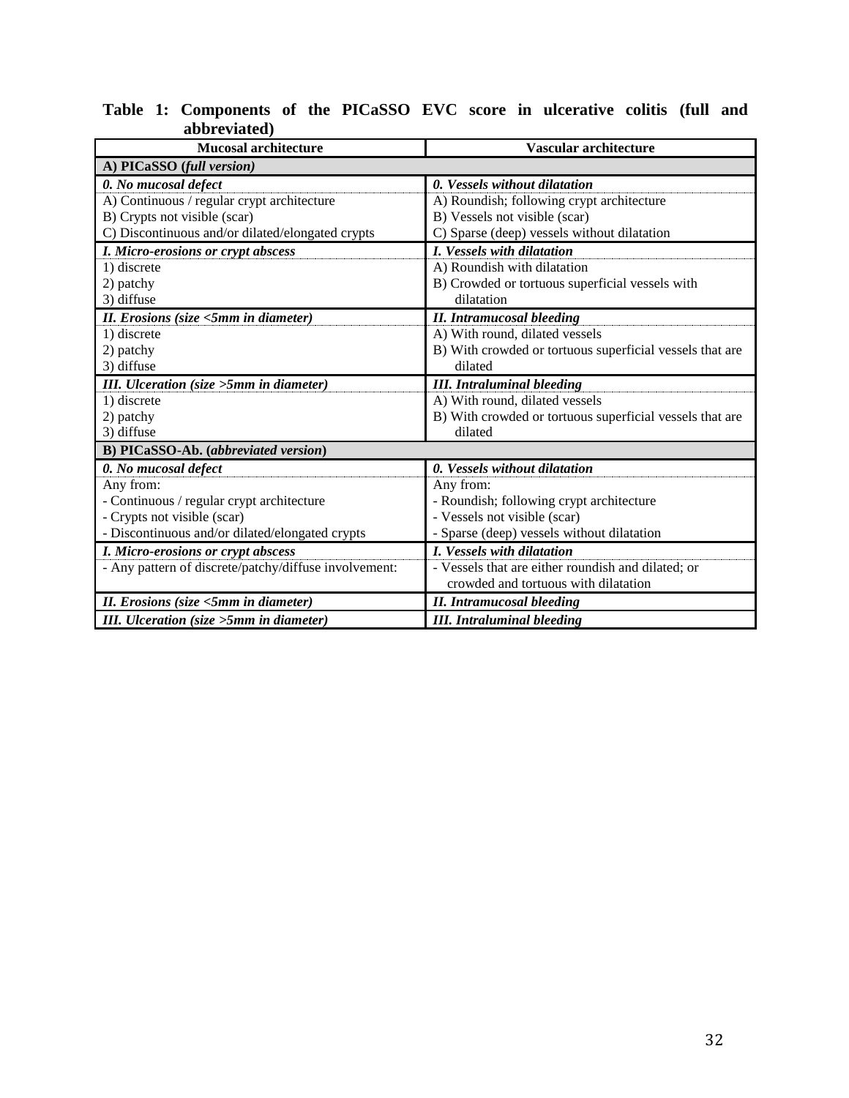| <b>Mucosal architecture</b>                           | Vascular architecture                                    |
|-------------------------------------------------------|----------------------------------------------------------|
|                                                       |                                                          |
| A) PICaSSO (full version)                             |                                                          |
| 0. No mucosal defect                                  | 0. Vessels without dilatation                            |
| A) Continuous / regular crypt architecture            | A) Roundish; following crypt architecture                |
| B) Crypts not visible (scar)                          | B) Vessels not visible (scar)                            |
| C) Discontinuous and/or dilated/elongated crypts      | C) Sparse (deep) vessels without dilatation              |
| I. Micro-erosions or crypt abscess                    | I. Vessels with dilatation                               |
| 1) discrete                                           | A) Roundish with dilatation                              |
| 2) patchy                                             | B) Crowded or tortuous superficial vessels with          |
| 3) diffuse                                            | dilatation                                               |
| II. Erosions (size <5mm in diameter)                  | <b>II.</b> Intramucosal bleeding                         |
| 1) discrete                                           | A) With round, dilated vessels                           |
| 2) patchy                                             | B) With crowded or tortuous superficial vessels that are |
| 3) diffuse                                            | dilated                                                  |
| III. Ulceration (size >5mm in diameter)               | <b>III.</b> Intraluminal bleeding                        |
| 1) discrete                                           | A) With round, dilated vessels                           |
| 2) patchy                                             | B) With crowded or tortuous superficial vessels that are |
| 3) diffuse                                            | dilated                                                  |
| B) PICaSSO-Ab. (abbreviated version)                  |                                                          |
| 0. No mucosal defect                                  | 0. Vessels without dilatation                            |
| Any from:                                             | Any from:                                                |
| - Continuous / regular crypt architecture             | - Roundish; following crypt architecture                 |
| - Crypts not visible (scar)                           | - Vessels not visible (scar)                             |
| - Discontinuous and/or dilated/elongated crypts       | - Sparse (deep) vessels without dilatation               |
| I. Micro-erosions or crypt abscess                    | <i>I. Vessels with dilatation</i>                        |
| - Any pattern of discrete/patchy/diffuse involvement: | - Vessels that are either roundish and dilated; or       |
|                                                       | crowded and tortuous with dilatation                     |
| II. Erosions (size <5mm in diameter)                  | <b>II.</b> Intramucosal bleeding                         |
| III. Ulceration (size > 5mm in diameter)              | <b>III.</b> Intraluminal bleeding                        |

#### **Table 1: Components of the PICaSSO EVC score in ulcerative colitis (full and abbreviated)**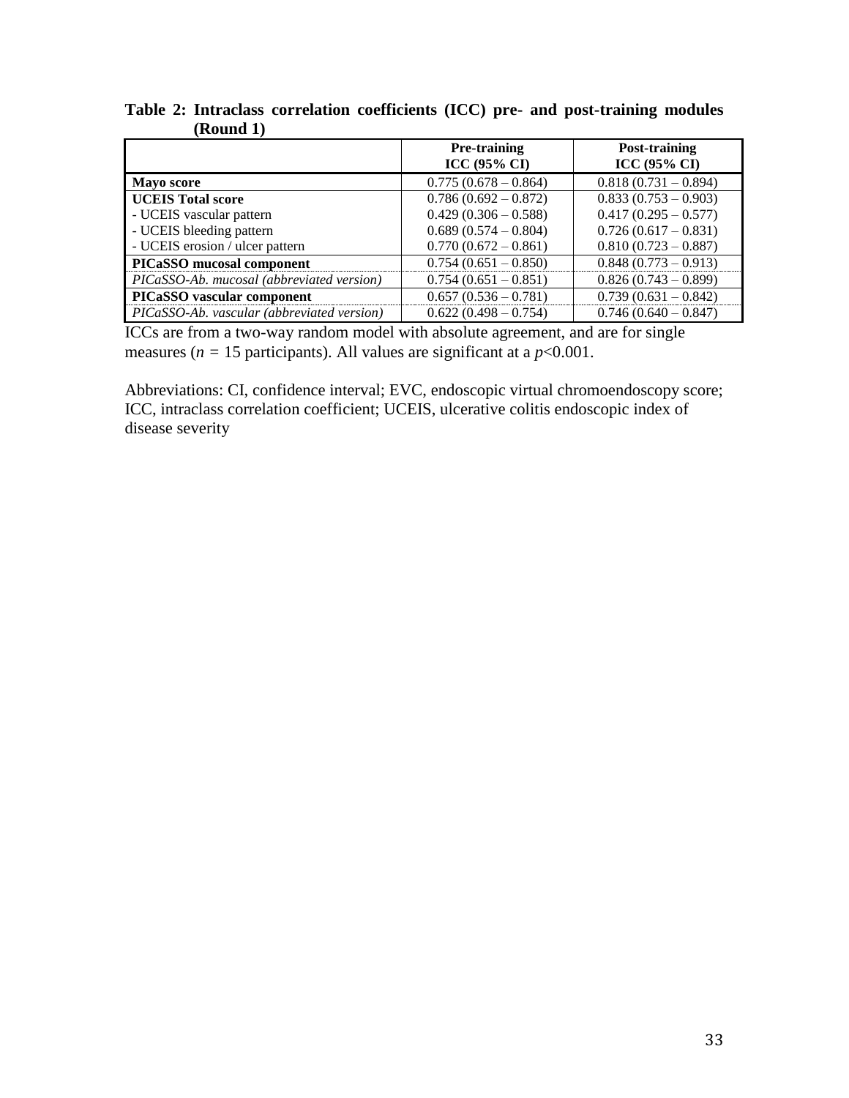|                                            | <b>Pre-training</b>    | Post-training          |
|--------------------------------------------|------------------------|------------------------|
|                                            | <b>ICC (95% CI)</b>    | <b>ICC (95% CI)</b>    |
| <b>Mayo score</b>                          | $0.775(0.678-0.864)$   | $0.818(0.731-0.894)$   |
| <b>UCEIS Total score</b>                   | $0.786(0.692 - 0.872)$ | $0.833(0.753 - 0.903)$ |
| - UCEIS vascular pattern                   | $0.429(0.306 - 0.588)$ | $0.417(0.295 - 0.577)$ |
| - UCEIS bleeding pattern                   | $0.689(0.574 - 0.804)$ | $0.726(0.617-0.831)$   |
| - UCEIS erosion / ulcer pattern            | $0.770(0.672 - 0.861)$ | $0.810(0.723 - 0.887)$ |
| <b>PICaSSO</b> mucosal component           | $0.754(0.651 - 0.850)$ | $0.848(0.773-0.913)$   |
| PICaSSO-Ab. mucosal (abbreviated version)  | $0.754(0.651-0.851)$   | $0.826(0.743-0.899)$   |
| PICaSSO vascular component                 | $0.657(0.536 - 0.781)$ | $0.739(0.631 - 0.842)$ |
| PICaSSO-Ab. vascular (abbreviated version) | $0.622(0.498 - 0.754)$ | $0.746(0.640 - 0.847)$ |

**Table 2: Intraclass correlation coefficients (ICC) pre- and post-training modules (Round 1)**

ICCs are from a two-way random model with absolute agreement, and are for single measures ( $n = 15$  participants). All values are significant at a  $p < 0.001$ .

Abbreviations: CI, confidence interval; EVC, endoscopic virtual chromoendoscopy score; ICC, intraclass correlation coefficient; UCEIS, ulcerative colitis endoscopic index of disease severity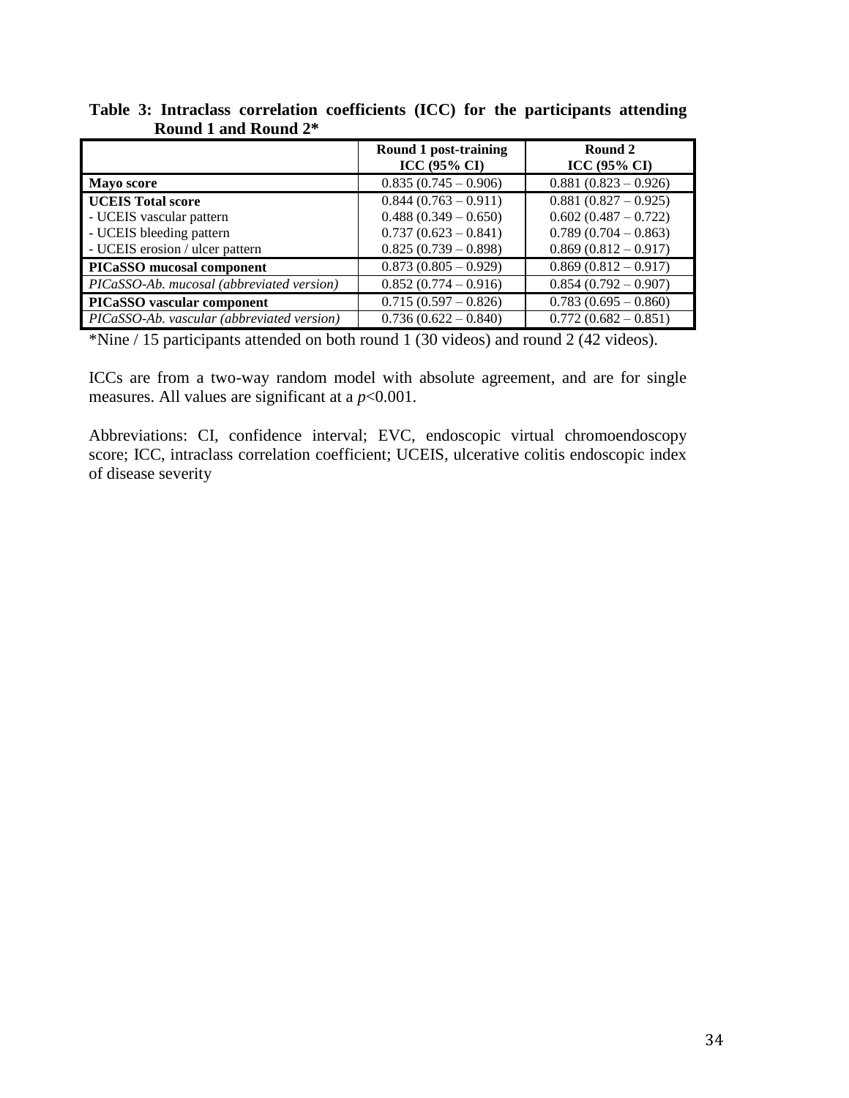|                                            | Round 1 post-training<br>ICC (95% CI) | Round 2<br><b>ICC (95% CI)</b> |
|--------------------------------------------|---------------------------------------|--------------------------------|
| <b>Mayo score</b>                          | $0.835(0.745-0.906)$                  | $0.881(0.823-0.926)$           |
| <b>UCEIS Total score</b>                   | $0.844(0.763-0.911)$                  | $0.881(0.827-0.925)$           |
| - UCEIS vascular pattern                   | $0.488(0.349 - 0.650)$                | $0.602(0.487 - 0.722)$         |
| - UCEIS bleeding pattern                   | $0.737(0.623 - 0.841)$                | $0.789(0.704 - 0.863)$         |
| - UCEIS erosion / ulcer pattern            | $0.825(0.739 - 0.898)$                | $0.869(0.812 - 0.917)$         |
| PICaSSO mucosal component                  | $0.873(0.805 - 0.929)$                | $0.869(0.812-0.917)$           |
| PICaSSO-Ab. mucosal (abbreviated version)  | $0.852(0.774-0.916)$                  | $0.854(0.792-0.907)$           |
| PICaSSO vascular component                 | $0.715(0.597 - 0.826)$                | $0.783(0.695 - 0.860)$         |
| PICaSSO-Ab. vascular (abbreviated version) | $0.736(0.622 - 0.840)$                | $0.772(0.682 - 0.851)$         |

**Table 3: Intraclass correlation coefficients (ICC) for the participants attending Round 1 and Round 2\***

\*Nine / 15 participants attended on both round 1 (30 videos) and round 2 (42 videos).

ICCs are from a two-way random model with absolute agreement, and are for single measures. All values are significant at  $a$   $p<0.001$ .

Abbreviations: CI, confidence interval; EVC, endoscopic virtual chromoendoscopy score; ICC, intraclass correlation coefficient; UCEIS, ulcerative colitis endoscopic index of disease severity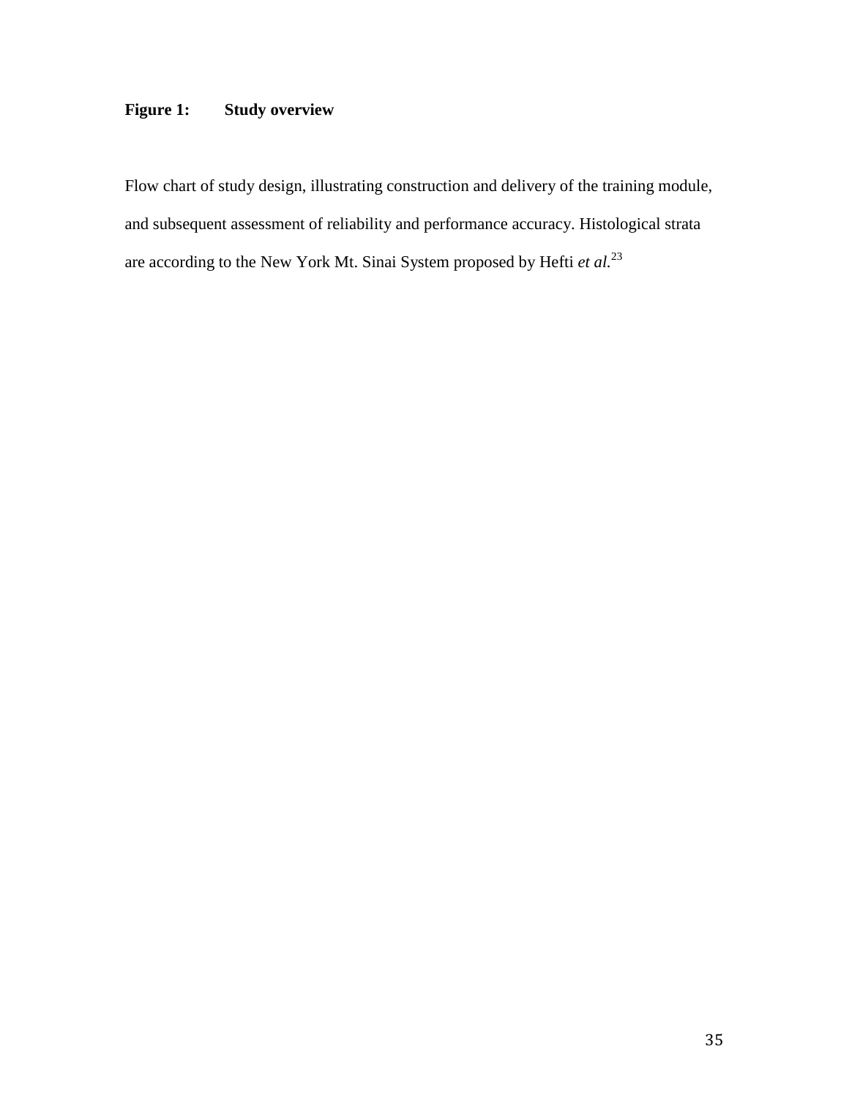### **Figure 1: Study overview**

Flow chart of study design, illustrating construction and delivery of the training module, and subsequent assessment of reliability and performance accuracy. Histological strata are according to the New York Mt. Sinai System proposed by Hefti *et al.*<sup>23</sup>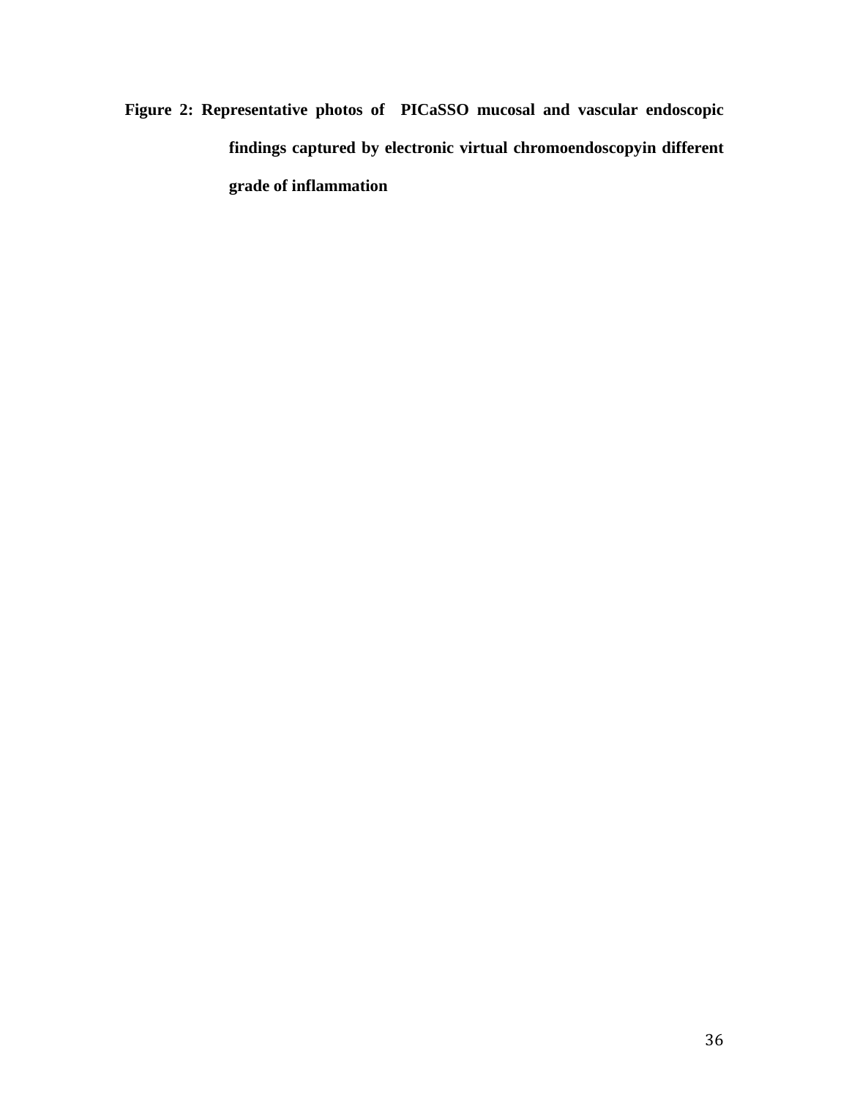**Figure 2: Representative photos of PICaSSO mucosal and vascular endoscopic findings captured by electronic virtual chromoendoscopyin different grade of inflammation**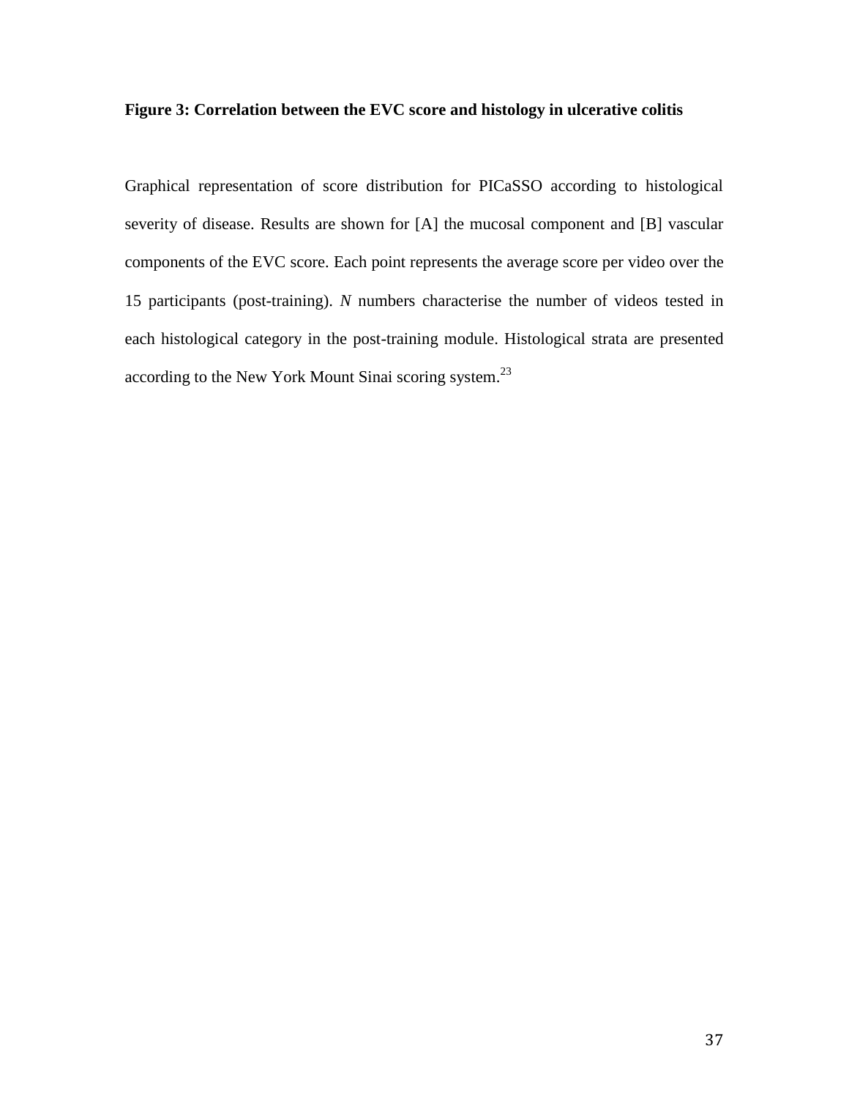#### **Figure 3: Correlation between the EVC score and histology in ulcerative colitis**

Graphical representation of score distribution for PICaSSO according to histological severity of disease. Results are shown for [A] the mucosal component and [B] vascular components of the EVC score. Each point represents the average score per video over the 15 participants (post-training). *N* numbers characterise the number of videos tested in each histological category in the post-training module. Histological strata are presented according to the New York Mount Sinai scoring system.<sup>23</sup>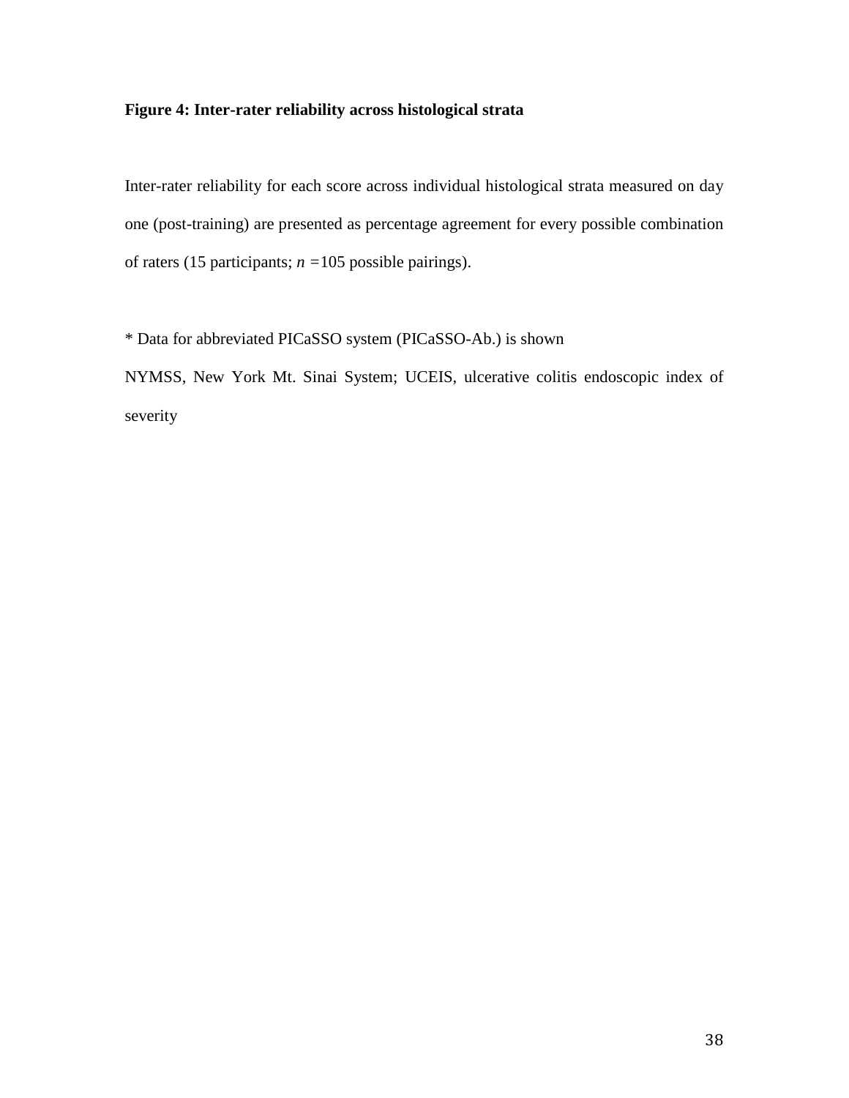#### **Figure 4: Inter-rater reliability across histological strata**

Inter-rater reliability for each score across individual histological strata measured on day one (post-training) are presented as percentage agreement for every possible combination of raters (15 participants; *n =*105 possible pairings).

\* Data for abbreviated PICaSSO system (PICaSSO-Ab.) is shown NYMSS, New York Mt. Sinai System; UCEIS, ulcerative colitis endoscopic index of severity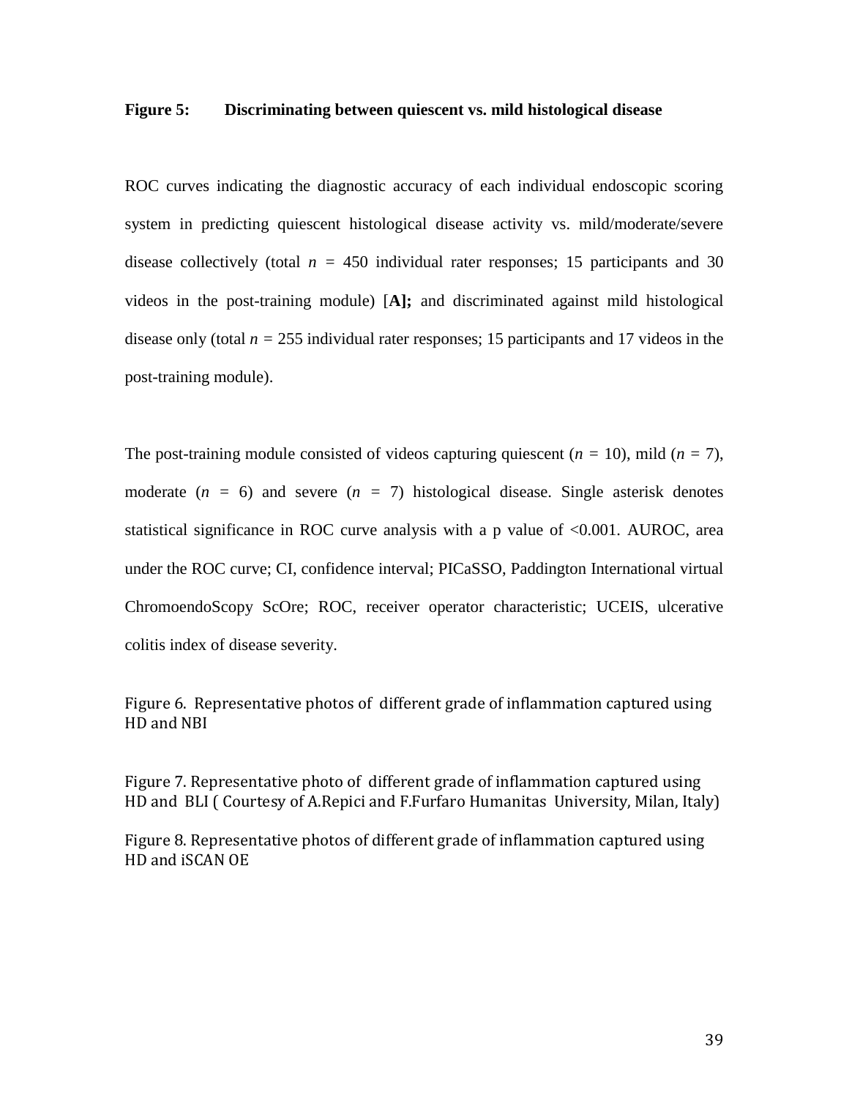#### **Figure 5: Discriminating between quiescent vs. mild histological disease**

ROC curves indicating the diagnostic accuracy of each individual endoscopic scoring system in predicting quiescent histological disease activity vs. mild/moderate/severe disease collectively (total  $n = 450$  individual rater responses; 15 participants and 30 videos in the post-training module) [**A];** and discriminated against mild histological disease only (total  $n = 255$  individual rater responses; 15 participants and 17 videos in the post-training module).

The post-training module consisted of videos capturing quiescent (*n =* 10), mild (*n =* 7), moderate  $(n = 6)$  and severe  $(n = 7)$  histological disease. Single asterisk denotes statistical significance in ROC curve analysis with a p value of <0.001. AUROC, area under the ROC curve; CI, confidence interval; PICaSSO, Paddington International virtual ChromoendoScopy ScOre; ROC, receiver operator characteristic; UCEIS, ulcerative colitis index of disease severity.

Figure 6. Representative photos of different grade of inflammation captured using HD and NBI

Figure 7. Representative photo of different grade of inflammation captured using HD and BLI ( Courtesy of A.Repici and F.Furfaro Humanitas University, Milan, Italy)

Figure 8. Representative photos of different grade of inflammation captured using HD and iSCAN OE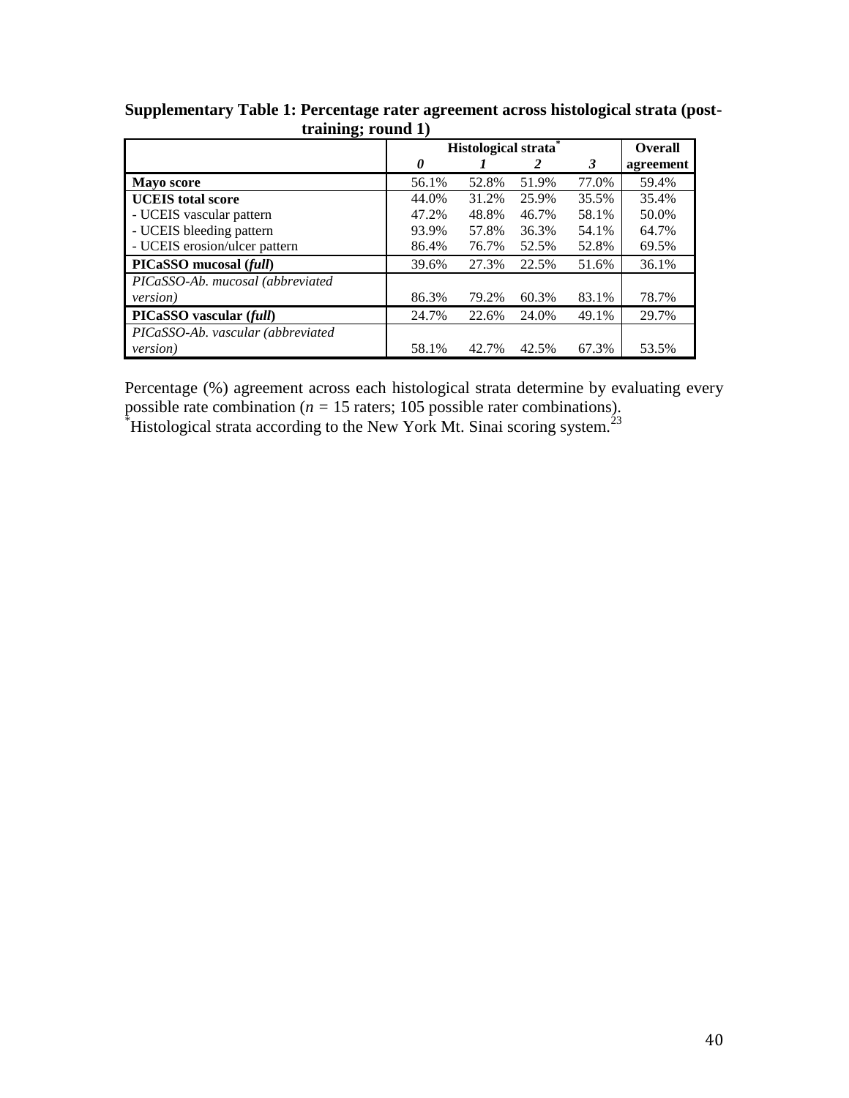| $\mathbf{C}^{\prime}$             | Histological strata |       |       |       | <b>Overall</b> |
|-----------------------------------|---------------------|-------|-------|-------|----------------|
|                                   | 0                   |       |       | 3     | agreement      |
| <b>Mayo score</b>                 | 56.1%               | 52.8% | 51.9% | 77.0% | 59.4%          |
| <b>UCEIS</b> total score          | 44.0%               | 31.2% | 25.9% | 35.5% | 35.4%          |
| - UCEIS vascular pattern          | 47.2%               | 48.8% | 46.7% | 58.1% | 50.0%          |
| - UCEIS bleeding pattern          | 93.9%               | 57.8% | 36.3% | 54.1% | 64.7%          |
| - UCEIS erosion/ulcer pattern     | 86.4%               | 76.7% | 52.5% | 52.8% | 69.5%          |
| PICaSSO mucosal (full)            | 39.6%               | 27.3% | 22.5% | 51.6% | 36.1%          |
| PICaSSO-Ab. mucosal (abbreviated  |                     |       |       |       |                |
| <i>version</i> )                  | 86.3%               | 79.2% | 60.3% | 83.1% | 78.7%          |
| PICaSSO vascular (full)           | 24.7%               | 22.6% | 24.0% | 49.1% | 29.7%          |
| PICaSSO-Ab. vascular (abbreviated |                     |       |       |       |                |
| <i>version</i> )                  | 58.1%               | 42.7% | 42.5% | 67.3% | 53.5%          |

**Supplementary Table 1: Percentage rater agreement across histological strata (posttraining; round 1)**

Percentage (%) agreement across each histological strata determine by evaluating every possible rate combination (*n =* 15 raters; 105 possible rater combinations).  $*$ Histological strata according to the New York Mt. Sinai scoring system.<sup>23</sup>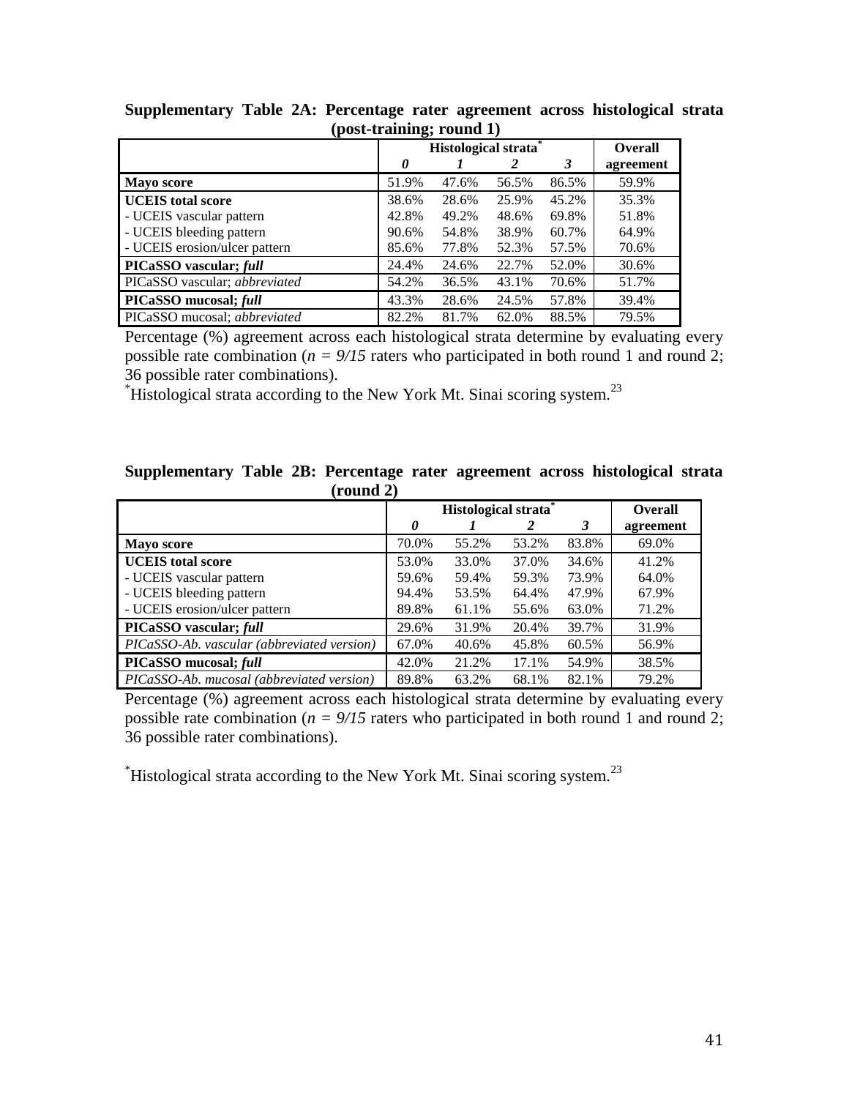|                                     |       | Histological strata |       |       |           |  |
|-------------------------------------|-------|---------------------|-------|-------|-----------|--|
|                                     | 0     |                     |       | 3     | agreement |  |
| Mayo score                          | 51.9% | 47.6%               | 56.5% | 86.5% | 59.9%     |  |
| <b>UCEIS</b> total score            | 38.6% | 28.6%               | 25.9% | 45.2% | 35.3%     |  |
| - UCEIS vascular pattern            | 42.8% | 49.2%               | 48.6% | 69.8% | 51.8%     |  |
| - UCEIS bleeding pattern            | 90.6% | 54.8%               | 38.9% | 60.7% | 64.9%     |  |
| - UCEIS erosion/ulcer pattern       | 85.6% | 77.8%               | 52.3% | 57.5% | 70.6%     |  |
| PICaSSO vascular; full              | 24.4% | 24.6%               | 22.7% | 52.0% | 30.6%     |  |
| PICaSSO vascular; abbreviated       | 54.2% | 36.5%               | 43.1% | 70.6% | 51.7%     |  |
| PICaSSO mucosal; full               | 43.3% | 28.6%               | 24.5% | 57.8% | 39.4%     |  |
| PICaSSO mucosal; <i>abbreviated</i> | 82.2% | 81.7%               | 62.0% | 88.5% | 79.5%     |  |

**Supplementary Table 2A: Percentage rater agreement across histological strata (post-training; round 1)**

Percentage (%) agreement across each histological strata determine by evaluating every possible rate combination ( $n = 9/15$  raters who participated in both round 1 and round 2; 36 possible rater combinations).

\*Histological strata according to the New York Mt. Sinai scoring system.<sup>23</sup>

| Supplementary Table 2B: Percentage rater agreement across histological strata |  |           |  |  |  |
|-------------------------------------------------------------------------------|--|-----------|--|--|--|
|                                                                               |  | (round 2) |  |  |  |

|                                            | Histological strata |       |       |       | <b>Overall</b> |
|--------------------------------------------|---------------------|-------|-------|-------|----------------|
|                                            | 0                   |       | 2     | 3     | agreement      |
| <b>Mayo score</b>                          | 70.0%               | 55.2% | 53.2% | 83.8% | 69.0%          |
| <b>UCEIS</b> total score                   | 53.0%               | 33.0% | 37.0% | 34.6% | 41.2%          |
| - UCEIS vascular pattern                   | 59.6%               | 59.4% | 59.3% | 73.9% | 64.0%          |
| - UCEIS bleeding pattern                   | 94.4%               | 53.5% | 64.4% | 47.9% | 67.9%          |
| - UCEIS erosion/ulcer pattern              | 89.8%               | 61.1% | 55.6% | 63.0% | 71.2%          |
| PICaSSO vascular; full                     | 29.6%               | 31.9% | 20.4% | 39.7% | 31.9%          |
| PICaSSO-Ab. vascular (abbreviated version) | 67.0%               | 40.6% | 45.8% | 60.5% | 56.9%          |
| PICaSSO mucosal; full                      | 42.0%               | 21.2% | 17.1% | 54.9% | 38.5%          |
| PICaSSO-Ab. mucosal (abbreviated version)  | 89.8%               | 63.2% | 68.1% | 82.1% | 79.2%          |

Percentage (%) agreement across each histological strata determine by evaluating every possible rate combination ( $n = 9/15$  raters who participated in both round 1 and round 2; 36 possible rater combinations).

 $*$ Histological strata according to the New York Mt. Sinai scoring system.<sup>23</sup>